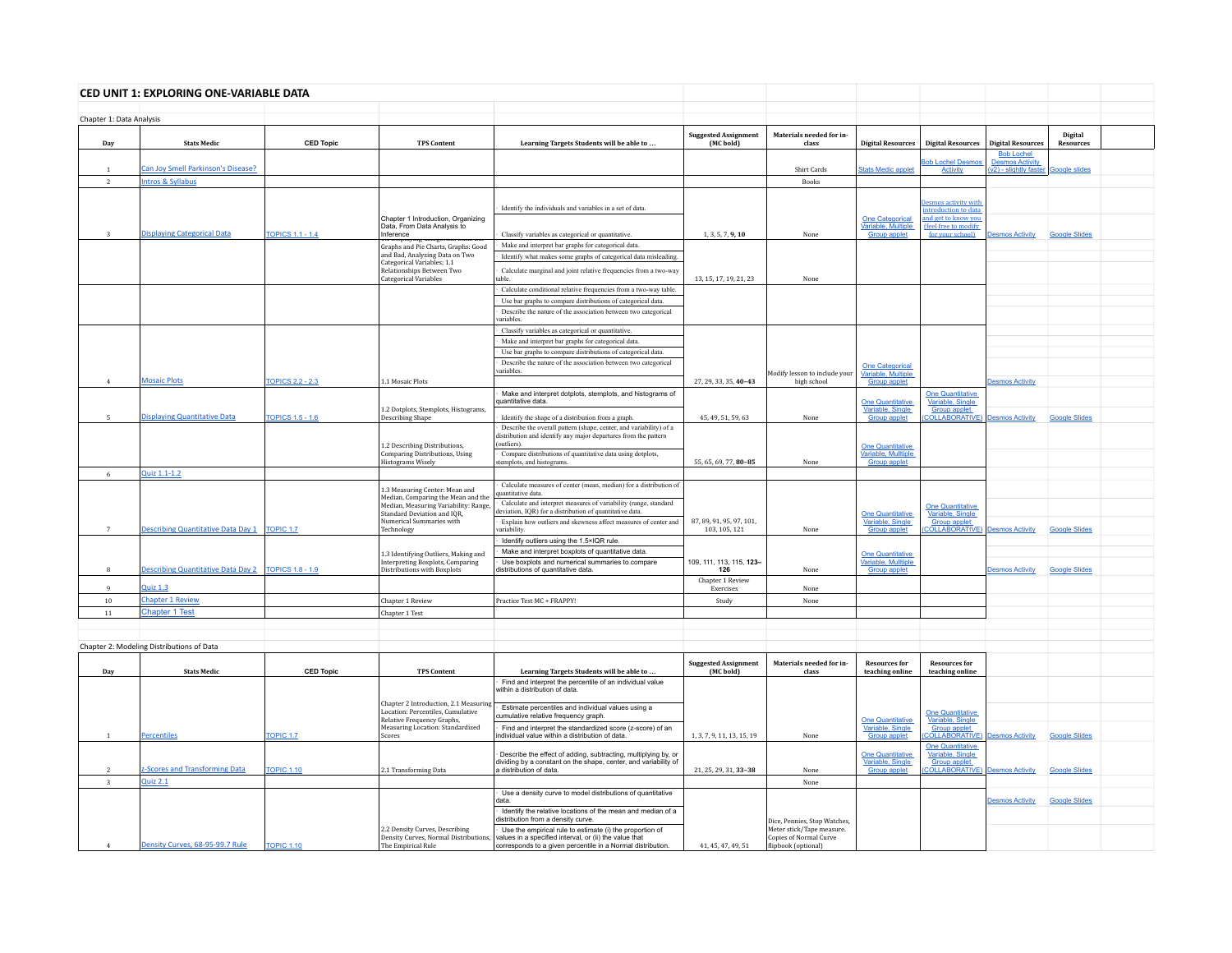|                          | CED UNIT 1: EXPLORING ONE-VARIABLE DATA   |                         |                                                                                                |                                                                                                                                                     |                                           |                                                     |                                                              |                                                              |                                             |                      |  |
|--------------------------|-------------------------------------------|-------------------------|------------------------------------------------------------------------------------------------|-----------------------------------------------------------------------------------------------------------------------------------------------------|-------------------------------------------|-----------------------------------------------------|--------------------------------------------------------------|--------------------------------------------------------------|---------------------------------------------|----------------------|--|
| Chapter 1: Data Analysis |                                           |                         |                                                                                                |                                                                                                                                                     |                                           |                                                     |                                                              |                                                              |                                             |                      |  |
| Dav                      | <b>Stats Medio</b>                        | <b>CED Topic</b>        | <b>TPS Content</b>                                                                             | Learning Targets Students will be able to                                                                                                           | <b>Suggested Assignment</b><br>(MC bold)  | Materials needed for in-<br>class                   | <b>Digital Resources</b>                                     | <b>Digital Resources</b>                                     | <b>Digital Resources</b>                    | Digital<br>Resources |  |
|                          |                                           |                         |                                                                                                |                                                                                                                                                     |                                           |                                                     |                                                              | <b>Rob Lochel Desi</b>                                       | <b>Bob Lochel</b><br><b>Desmos Activity</b> |                      |  |
| $\mathbf{1}$             | Can Joy Smell Parkinson's Disease?        |                         |                                                                                                |                                                                                                                                                     |                                           | Shirt Cards                                         | tats Medic applet                                            | Activity                                                     | (v2) - slightly faster                      | <b>Google slides</b> |  |
| <sup>2</sup>             | ntros & Syllabus                          |                         |                                                                                                |                                                                                                                                                     |                                           | <b>Books</b>                                        |                                                              |                                                              |                                             |                      |  |
|                          |                                           |                         |                                                                                                |                                                                                                                                                     |                                           |                                                     |                                                              | Desmos activity with                                         |                                             |                      |  |
|                          |                                           |                         | Chapter 1 Introduction, Organizing                                                             | Identify the individuals and variables in a set of data.                                                                                            |                                           |                                                     |                                                              | introduction to data<br>and get to know you                  |                                             |                      |  |
| 3                        | <b>Displaying Categorical Data</b>        | <b>TOPICS 1.1 - 1.4</b> | Data, From Data Analysis to<br>Inference                                                       | Classify variables as categorical or quantitative.                                                                                                  | 1, 3, 5, 7, 9, 10                         | None                                                | One Categorical<br>Variable, Multiple<br><b>Group applet</b> | (feel free to modify<br>for your school)                     | <b>Desmos Activity</b>                      | <b>Google Slides</b> |  |
|                          |                                           |                         | Graphs and Pie Charts, Graphs: Good                                                            | Make and interpret bar graphs for categorical data.                                                                                                 |                                           |                                                     |                                                              |                                                              |                                             |                      |  |
|                          |                                           |                         | and Bad. Analyzing Data on Two                                                                 | Identify what makes some graphs of categorical data misleading.                                                                                     |                                           |                                                     |                                                              |                                                              |                                             |                      |  |
|                          |                                           |                         | Categorical Variables; 1.1<br><b>Relationships Between Two</b><br><b>Categorical Variables</b> | Calculate marginal and joint relative frequencies from a two-way<br>able                                                                            | 13, 15, 17, 19, 21, 23                    | None                                                |                                                              |                                                              |                                             |                      |  |
|                          |                                           |                         |                                                                                                | Calculate conditional relative frequencies from a two-way table.                                                                                    |                                           |                                                     |                                                              |                                                              |                                             |                      |  |
|                          |                                           |                         |                                                                                                | Use bar graphs to compare distributions of categorical data.                                                                                        |                                           |                                                     |                                                              |                                                              |                                             |                      |  |
|                          |                                           |                         |                                                                                                | Describe the nature of the association between two categorical<br>variables                                                                         |                                           |                                                     |                                                              |                                                              |                                             |                      |  |
|                          |                                           |                         |                                                                                                | Classify variables as categorical or quantitative.                                                                                                  |                                           |                                                     |                                                              |                                                              |                                             |                      |  |
|                          |                                           |                         |                                                                                                | Make and interpret bar graphs for categorical data.                                                                                                 |                                           |                                                     |                                                              |                                                              |                                             |                      |  |
|                          |                                           |                         |                                                                                                | Use bar graphs to compare distributions of categorical data.<br>Describe the nature of the association between two categorical                      |                                           |                                                     |                                                              |                                                              |                                             |                      |  |
|                          |                                           |                         |                                                                                                | variables.                                                                                                                                          |                                           | Aodify lesson to include your                       | <b>One Categorical</b><br>Variable, Multiple                 |                                                              |                                             |                      |  |
| $\overline{4}$           | <b>Mosaic Plots</b>                       | <b>TOPICS 2.2 - 2.3</b> | 1.1 Mosaic Plots                                                                               |                                                                                                                                                     | 27, 29, 33, 35, 40-43                     | high school                                         | <b>Group applet</b>                                          |                                                              | esmos Activity                              |                      |  |
|                          |                                           |                         |                                                                                                | Make and interpret dotplots, stemplots, and histograms of<br>auantitative data.                                                                     |                                           |                                                     | <b>One Quantitative</b>                                      | One Quantitative<br>Variable, Single                         |                                             |                      |  |
| 5                        | <b>Displaying Quantitative Data</b>       | <b>TOPICS 1.5 - 1.6</b> | 1.2 Dotplots, Stemplots, Histograms,<br>Describing Shape                                       | Identify the shape of a distribution from a graph                                                                                                   | 45, 49, 51, 59, 63                        | None                                                | Variable, Single<br><b>Group applet</b>                      | <b>Group applet</b><br><b>COLLABORATIVE)</b> Desmos Activity |                                             | <b>Google Slides</b> |  |
|                          |                                           |                         |                                                                                                | Describe the overall pattern (shape, center, and variability) of a<br>listribution and identify any major departures from the pattern<br>outliers). |                                           |                                                     |                                                              |                                                              |                                             |                      |  |
|                          |                                           |                         | 1.2 Describing Distributions,<br>Comparing Distributions, Using<br><b>Histograms Wisely</b>    | Compare distributions of quantitative data using dotplots,<br>templots, and histograms.                                                             | 55, 65, 69, 77, 80-85                     | None                                                | One Quantitative<br>Variable, Mulltiple<br>Group applet      |                                                              |                                             |                      |  |
| 6                        | Quiz 1.1-1.2                              |                         |                                                                                                |                                                                                                                                                     |                                           |                                                     |                                                              |                                                              |                                             |                      |  |
|                          |                                           |                         | 1.3 Measuring Center: Mean and                                                                 | Calculate measures of center (mean, median) for a distribution of<br>quantitative data.                                                             |                                           |                                                     |                                                              |                                                              |                                             |                      |  |
|                          |                                           |                         | Median, Comparing the Mean and the<br>Median, Measuring Variability: Range                     | Calculate and interpret measures of variability (range, standard                                                                                    |                                           |                                                     |                                                              | <b>One Quantitative</b>                                      |                                             |                      |  |
|                          |                                           |                         | Standard Deviation and IQR,                                                                    | leviation, IQR) for a distribution of quantitative data.                                                                                            |                                           |                                                     | <b>One Quantitative</b>                                      | Variable, Single                                             |                                             |                      |  |
| $\overline{7}$           | <b>Describing Quantitative Data Day 1</b> | TOPIC <sub>1.7</sub>    | Numerical Summaries with<br>Technology                                                         | Explain how outliers and skewness affect measures of center and<br>ariability.                                                                      | 87, 89, 91, 95, 97, 101,<br>103, 105, 121 | None                                                | Variable, Single<br><b>Group applet</b>                      | <b>Group applet</b><br><b>OLLABORATIVE</b>                   | <b>Desmos Activity</b>                      | <b>Google Slides</b> |  |
|                          |                                           |                         |                                                                                                | Identify outliers using the 1.5×IQR rule.                                                                                                           |                                           |                                                     |                                                              |                                                              |                                             |                      |  |
|                          |                                           |                         | 1.3 Identifying Outliers, Making and<br>Interpreting Boxplots, Comparing                       | Make and interpret boxplots of quantitative data.<br>Use boxplots and numerical summaries to compare                                                | 109, 111, 113, 115, 123-                  |                                                     | <b>One Quantitative</b><br>Variable, Mulltiple               |                                                              |                                             |                      |  |
| $^{\rm 8}$               | <b>Describing Quantitative Data Day 2</b> | <b>TOPICS 1.8 - 1.9</b> | Distributions with Boxplots                                                                    | distributions of quantitative data.                                                                                                                 | 126                                       | None                                                | <b>Group applet</b>                                          |                                                              | <b>Jesmos Activity</b>                      | <b>Google Slides</b> |  |
| q                        | $2$ uiz 1.3                               |                         |                                                                                                |                                                                                                                                                     | Chapter 1 Review<br>Exercises             | None                                                |                                                              |                                                              |                                             |                      |  |
| $10\,$                   | <b>Chapter 1 Review</b>                   |                         | Chapter 1 Review                                                                               | Practice Test MC + FRAPPY!                                                                                                                          | Study                                     | None                                                |                                                              |                                                              |                                             |                      |  |
| 11                       | <b>Chapter 1 Test</b>                     |                         | Chapter 1 Test                                                                                 |                                                                                                                                                     |                                           |                                                     |                                                              |                                                              |                                             |                      |  |
|                          |                                           |                         |                                                                                                |                                                                                                                                                     |                                           |                                                     |                                                              |                                                              |                                             |                      |  |
|                          |                                           |                         |                                                                                                |                                                                                                                                                     |                                           |                                                     |                                                              |                                                              |                                             |                      |  |
|                          | Chapter 2: Modeling Distributions of Data |                         |                                                                                                |                                                                                                                                                     |                                           |                                                     |                                                              |                                                              |                                             |                      |  |
| Day                      | <b>Stats Medio</b>                        | <b>CED Topic</b>        | <b>TPS Content</b>                                                                             | Learning Targets Students will be able to                                                                                                           | <b>Suggested Assignment</b><br>(MC bold)  | Materials needed for in-<br>class                   | <b>Resources for</b><br>teaching online                      | <b>Resources for</b><br>teaching online                      |                                             |                      |  |
|                          |                                           |                         |                                                                                                | Find and interpret the percentile of an individual value<br>vithin a distribution of data.                                                          |                                           |                                                     |                                                              |                                                              |                                             |                      |  |
|                          |                                           |                         | Chapter 2 Introduction, 2.1 Measuring<br>Location: Percentiles, Cumulative                     | Estimate percentiles and individual values using a                                                                                                  |                                           |                                                     |                                                              | <b>One Quantitative</b>                                      |                                             |                      |  |
|                          |                                           |                         | Relative Frequency Graphs,<br>Measuring Location: Standardized                                 | cumulative relative frequency graph.<br>Find and interpret the standardized score (z-score) of an                                                   |                                           |                                                     | <b>One Quantitative</b><br>Variable, Single                  | Variable, Single<br><b>Group applet</b>                      |                                             |                      |  |
| $\mathbf{1}$             | <b>Percentiles</b>                        | <b>OPIC 1.7</b>         | Scores                                                                                         | ndividual value within a distribution of data.                                                                                                      | 1, 3, 7, 9, 11, 13, 15, 19                | None                                                | Group applet                                                 | OLLABORATIVE)                                                | esmos Activity                              | <b>Google Slides</b> |  |
|                          |                                           |                         |                                                                                                | Describe the effect of adding, subtracting, multiplying by, or                                                                                      |                                           |                                                     | One Quantitative<br>Variable, Single                         | One Quantitative<br>Variable, Single                         |                                             |                      |  |
| $\overline{2}$           | -Scores and Transforming Data             | <b>TOPIC 1.10</b>       | 2.1 Transforming Data                                                                          | dividing by a constant on the shape, center, and variability of<br>a distribution of data.                                                          | 21, 25, 29, 31, 33-38                     | None                                                | <b>Group applet</b>                                          | Group applet<br>COLLABORATIVE                                | esmos Activity                              | <b>Google Slides</b> |  |
| $\overline{3}$           | Quiz 2.1                                  |                         |                                                                                                |                                                                                                                                                     |                                           | None                                                |                                                              |                                                              |                                             |                      |  |
|                          |                                           |                         |                                                                                                | Use a density curve to model distributions of quantitative                                                                                          |                                           |                                                     |                                                              |                                                              |                                             |                      |  |
|                          |                                           |                         |                                                                                                | data.<br>Identify the relative locations of the mean and median of a                                                                                |                                           |                                                     |                                                              |                                                              | <b>Desmos Activity</b>                      | <b>Google Slides</b> |  |
|                          |                                           |                         |                                                                                                | distribution from a density curve.                                                                                                                  |                                           | Dice, Pennies, Stop Watches                         |                                                              |                                                              |                                             |                      |  |
|                          |                                           |                         | 2.2 Density Curves, Describing<br>Density Curves, Normal Distributio                           | Use the empirical rule to estimate (i) the proportion of<br>values in a specified interval, or (ii) the value that                                  |                                           | Meter stick/Tape measure.<br>Copies of Normal Curve |                                                              |                                                              |                                             |                      |  |
| $\overline{4}$           | Density Curves, 68-95-99.7 Rule           | <b>TOPIC 1.10</b>       | The Empirical Rule                                                                             | corresponds to a given percentile in a Normal distribution.                                                                                         | 41, 45, 47, 49, 51                        | flipbook (optional)                                 |                                                              |                                                              |                                             |                      |  |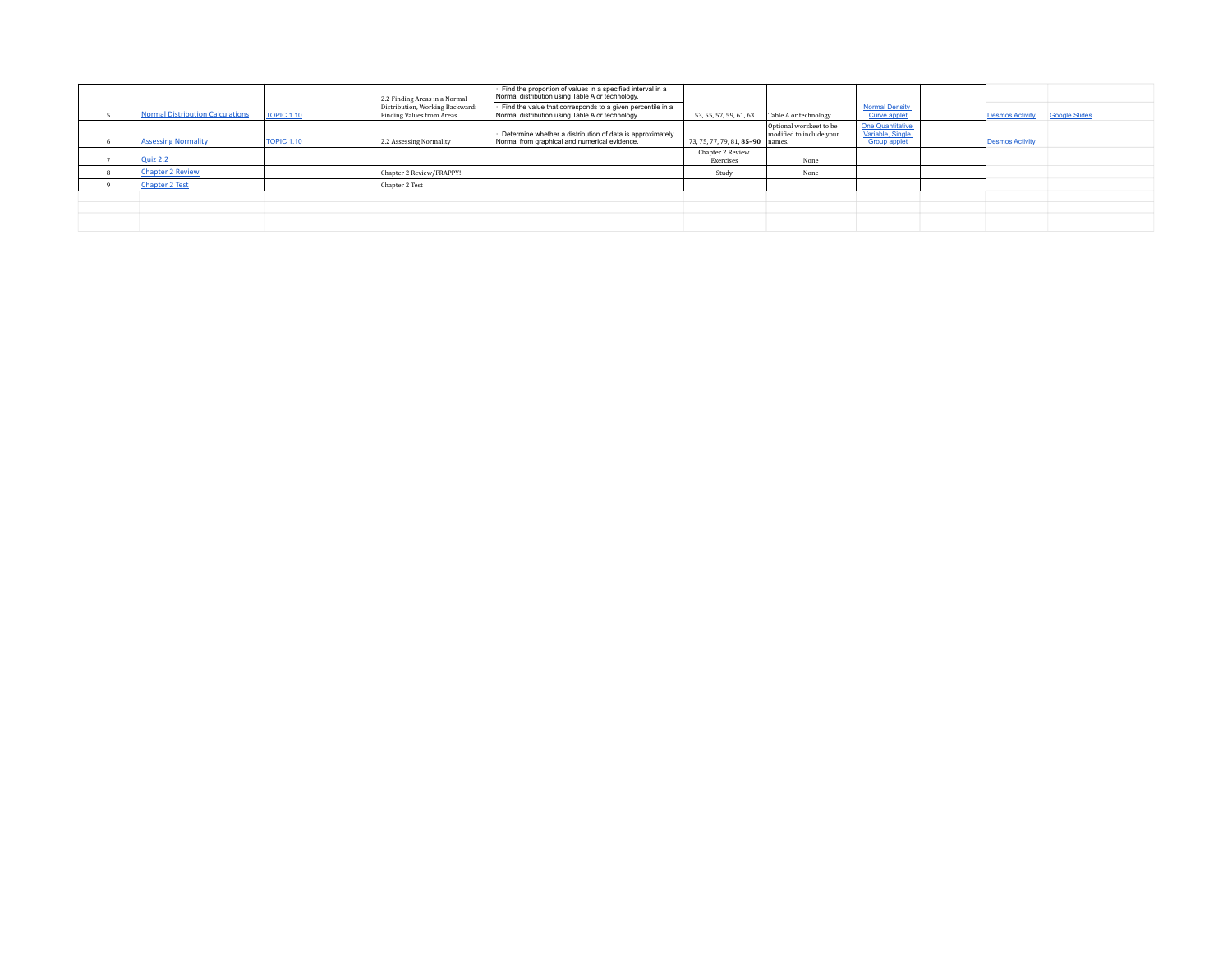|                                         |                   | 2.2 Finding Areas in a Normal                                | Find the proportion of values in a specified interval in a<br>Normal distribution using Table A or technology. |                                  |                                                     |                                                                    |                        |                      |  |
|-----------------------------------------|-------------------|--------------------------------------------------------------|----------------------------------------------------------------------------------------------------------------|----------------------------------|-----------------------------------------------------|--------------------------------------------------------------------|------------------------|----------------------|--|
| <b>Normal Distribution Calculations</b> | <b>TOPIC 1.10</b> | Distribution, Working Backward:<br>Finding Values from Areas | Find the value that corresponds to a given percentile in a<br>Normal distribution using Table A or technology. | 53, 55, 57, 59, 61, 63           | Table A or technology                               | <b>Normal Density</b><br><b>Curve applet</b>                       | <b>Desmos Activity</b> | <b>Google Slides</b> |  |
| <b>Assessing Normality</b>              | <b>TOPIC 1.10</b> | 2.2 Assessing Normality                                      | Determine whether a distribution of data is approximately<br>Normal from graphical and numerical evidence.     | 73, 75, 77, 79, 81, 85-90 names. | Optional worskeet to be<br>modified to include your | <b>One Quantitative</b><br>Variable, Single<br><b>Group applet</b> | <b>Desmos Activity</b> |                      |  |
| Quiz 2.2                                |                   |                                                              |                                                                                                                | Chapter 2 Review<br>Exercises    | None                                                |                                                                    |                        |                      |  |
| <b>Chapter 2 Review</b>                 |                   | Chapter 2 Review/FRAPPY!                                     |                                                                                                                | Study                            | None                                                |                                                                    |                        |                      |  |
| <b>Chapter 2 Test</b>                   |                   | Chapter 2 Test                                               |                                                                                                                |                                  |                                                     |                                                                    |                        |                      |  |
|                                         |                   |                                                              |                                                                                                                |                                  |                                                     |                                                                    |                        |                      |  |
|                                         |                   |                                                              |                                                                                                                |                                  |                                                     |                                                                    |                        |                      |  |
|                                         |                   |                                                              |                                                                                                                |                                  |                                                     |                                                                    |                        |                      |  |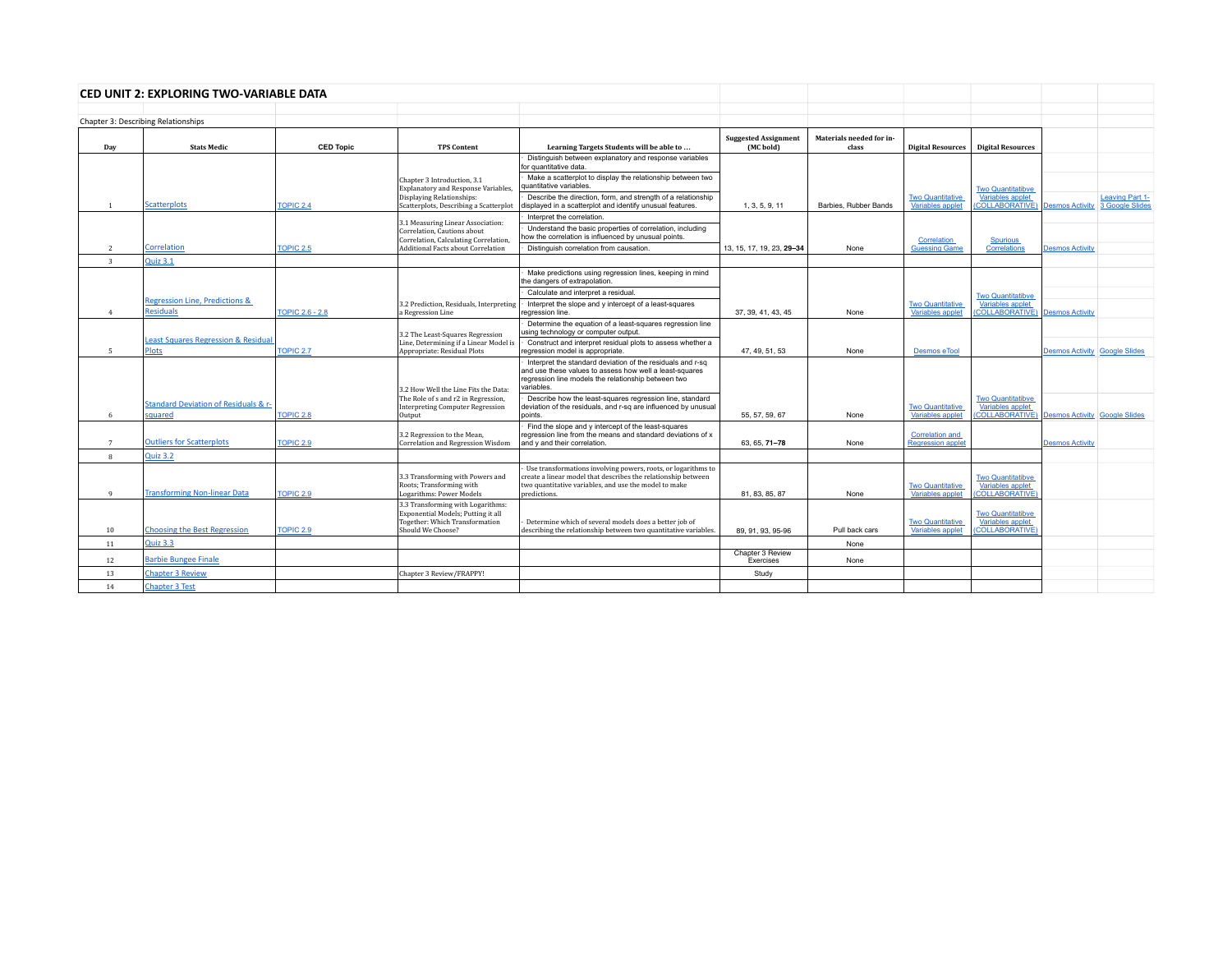|                | CED UNIT 2: EXPLORING TWO-VARIABLE DATA                        |                        |                                                                                                                                |                                                                                                                                                                                                         |                                          |                                   |                                                    |                                                                                                     |                                      |                 |
|----------------|----------------------------------------------------------------|------------------------|--------------------------------------------------------------------------------------------------------------------------------|---------------------------------------------------------------------------------------------------------------------------------------------------------------------------------------------------------|------------------------------------------|-----------------------------------|----------------------------------------------------|-----------------------------------------------------------------------------------------------------|--------------------------------------|-----------------|
|                | Chapter 3: Describing Relationships                            |                        |                                                                                                                                |                                                                                                                                                                                                         |                                          |                                   |                                                    |                                                                                                     |                                      |                 |
| Day            | <b>Stats Medic</b>                                             | <b>CED Topic</b>       | <b>TPS Content</b>                                                                                                             | Learning Targets Students will be able to                                                                                                                                                               | <b>Suggested Assignment</b><br>(MC bold) | Materials needed for in-<br>class | <b>Digital Resources</b>                           | <b>Digital Resources</b>                                                                            |                                      |                 |
|                |                                                                |                        |                                                                                                                                | Distinguish between explanatory and response variables<br>for quantitative data.                                                                                                                        |                                          |                                   |                                                    |                                                                                                     |                                      |                 |
|                |                                                                |                        | Chapter 3 Introduction, 3.1<br><b>Explanatory and Response Variables</b>                                                       | Make a scatterplot to display the relationship between two<br>quantitative variables.                                                                                                                   |                                          |                                   |                                                    | <b>Two Quantitatibve</b>                                                                            |                                      |                 |
| $\overline{1}$ | <b>Scatterplots</b>                                            | <b>TOPIC 2.4</b>       | Displaying Relationships:<br>Scatterplots, Describing a Scatterplot                                                            | Describe the direction, form, and strength of a relationship<br>displayed in a scatterplot and identify unusual features.                                                                               | 1, 3, 5, 9, 11                           | Barbies, Rubber Bands             | <b>Two Quantitative</b><br><b>Variables applet</b> | Variables applet<br><b>COLLABORATIVE)</b>                                                           | Desmos Activity 3 Google Slides      | Leaving Part 1- |
|                |                                                                |                        |                                                                                                                                | Interpret the correlation.                                                                                                                                                                              |                                          |                                   |                                                    |                                                                                                     |                                      |                 |
|                |                                                                |                        | 3.1 Measuring Linear Association:<br>Correlation, Cautions about<br>Correlation, Calculating Correlation,                      | Understand the basic properties of correlation, including<br>how the correlation is influenced by unusual points.                                                                                       |                                          |                                   | Correlation                                        | <b>Spurious</b>                                                                                     |                                      |                 |
| $\overline{2}$ | <b>Correlation</b>                                             | TOPIC 2.5              | Additional Facts about Correlation                                                                                             | Distinguish correlation from causation.                                                                                                                                                                 | 13, 15, 17, 19, 23, 29-34                | None                              | <b>Guessing Game</b>                               | Correlations                                                                                        | <b>Desmos Activity</b>               |                 |
| $\mathbf{R}$   | <b>Quiz 3.1</b>                                                |                        |                                                                                                                                |                                                                                                                                                                                                         |                                          |                                   |                                                    |                                                                                                     |                                      |                 |
|                |                                                                |                        |                                                                                                                                | Make predictions using regression lines, keeping in mind<br>the dangers of extrapolation.                                                                                                               |                                          |                                   |                                                    |                                                                                                     |                                      |                 |
|                | Regression Line, Predictions &                                 |                        |                                                                                                                                | Calculate and interpret a residual.                                                                                                                                                                     |                                          |                                   |                                                    | <b>Two Quantitatibve</b>                                                                            |                                      |                 |
| $\overline{4}$ | <b>Residuals</b>                                               | <b>TOPIC 2.6 - 2.8</b> | 3.2 Prediction, Residuals, Interpreting<br>a Regression Line                                                                   | Interpret the slope and y intercept of a least-squares<br>regression line.                                                                                                                              | 37, 39, 41, 43, 45                       | None                              | <b>Two Quantitative</b><br>Variables applet        | Variables applet<br>(COLLABORATIVE) Desmos Activity                                                 |                                      |                 |
|                |                                                                |                        | 3.2 The Least-Squares Regression                                                                                               | Determine the equation of a least-squares regression line<br>using technology or computer output.                                                                                                       |                                          |                                   |                                                    |                                                                                                     |                                      |                 |
| 5              | <b>Least Squares Regression &amp; Residual</b><br><b>Plots</b> | <b>TOPIC 2.7</b>       | Line. Determining if a Linear Model is<br>Appropriate: Residual Plots                                                          | Construct and interpret residual plots to assess whether a<br>regression model is appropriate.                                                                                                          | 47, 49, 51, 53                           | <b>None</b>                       | <b>Desmos e Tool</b>                               |                                                                                                     | <b>Desmos Activity Google Slides</b> |                 |
|                |                                                                |                        | 3.2 How Well the Line Fits the Data:                                                                                           | Interpret the standard deviation of the residuals and r-sq<br>and use these values to assess how well a least-squares<br>regression line models the relationship between two<br>variables.              |                                          |                                   |                                                    |                                                                                                     |                                      |                 |
| 6              | Standard Deviation of Residuals & r-<br>squared                | <b>TOPIC 2.8</b>       | The Role of s and r2 in Regression,<br><b>Interpreting Computer Regression</b><br>Output                                       | Describe how the least-squares regression line, standard<br>deviation of the residuals, and r-sq are influenced by unusual<br>points.                                                                   | 55, 57, 59, 67                           | None                              | <b>Two Quantitative</b><br><b>Variables applet</b> | <b>Two Quantitatibve</b><br>Variables applet<br><b>COLLABORATIVE) Desmos Activity Google Slides</b> |                                      |                 |
| $\overline{7}$ | <b>Outliers for Scatterplots</b>                               | TOPIC 2.9              | 3.2 Regression to the Mean,<br>Correlation and Regression Wisdom                                                               | Find the slope and y intercept of the least-squares<br>regression line from the means and standard deviations of x<br>and y and their correlation.                                                      | 63, 65, 71-78                            | None                              | <b>Correlation and</b><br><b>Regression applet</b> |                                                                                                     | <b>Desmos Activity</b>               |                 |
| $\mathbf{8}$   | <b>Quiz 3.2</b>                                                |                        |                                                                                                                                |                                                                                                                                                                                                         |                                          |                                   |                                                    |                                                                                                     |                                      |                 |
| $\alpha$       | <b>Transforming Non-linear Data</b>                            | <b>TOPIC 2.9</b>       | 3.3 Transforming with Powers and<br>Roots; Transforming with<br>Logarithms: Power Models                                       | Use transformations involving powers, roots, or logarithms to<br>create a linear model that describes the relationship between<br>two quantitative variables, and use the model to make<br>predictions. | 81, 83, 85, 87                           | None                              | <b>Two Quantitative</b><br><b>Variables applet</b> | <b>Two Quantitatibve</b><br>Variables applet<br>(COLLABORATIVE)                                     |                                      |                 |
| 10             | <b>Choosing the Best Regression</b>                            | TOPIC 2.9              | 3.3 Transforming with Logarithms:<br>Exponential Models: Putting it all<br>Together: Which Transformation<br>Should We Choose? | Determine which of several models does a better job of<br>describing the relationship between two quantitative variables.                                                                               | 89, 91, 93, 95-96                        | Pull back cars                    | <b>Two Quantitative</b><br><b>Variables applet</b> | <b>Two Quantitatibve</b><br>Variables applet<br>(COLLABORATIVE)                                     |                                      |                 |
| 11             | <b>Quiz 3.3</b>                                                |                        |                                                                                                                                |                                                                                                                                                                                                         |                                          | None                              |                                                    |                                                                                                     |                                      |                 |
| 12             | <b>Barbie Bungee Finale</b>                                    |                        |                                                                                                                                |                                                                                                                                                                                                         | Chapter 3 Review<br>Exercises            | None                              |                                                    |                                                                                                     |                                      |                 |
| 13             | <b>Chapter 3 Review</b>                                        |                        | Chapter 3 Review/FRAPPY!                                                                                                       |                                                                                                                                                                                                         | Study                                    |                                   |                                                    |                                                                                                     |                                      |                 |
| 14             | <b>Chapter 3 Test</b>                                          |                        |                                                                                                                                |                                                                                                                                                                                                         |                                          |                                   |                                                    |                                                                                                     |                                      |                 |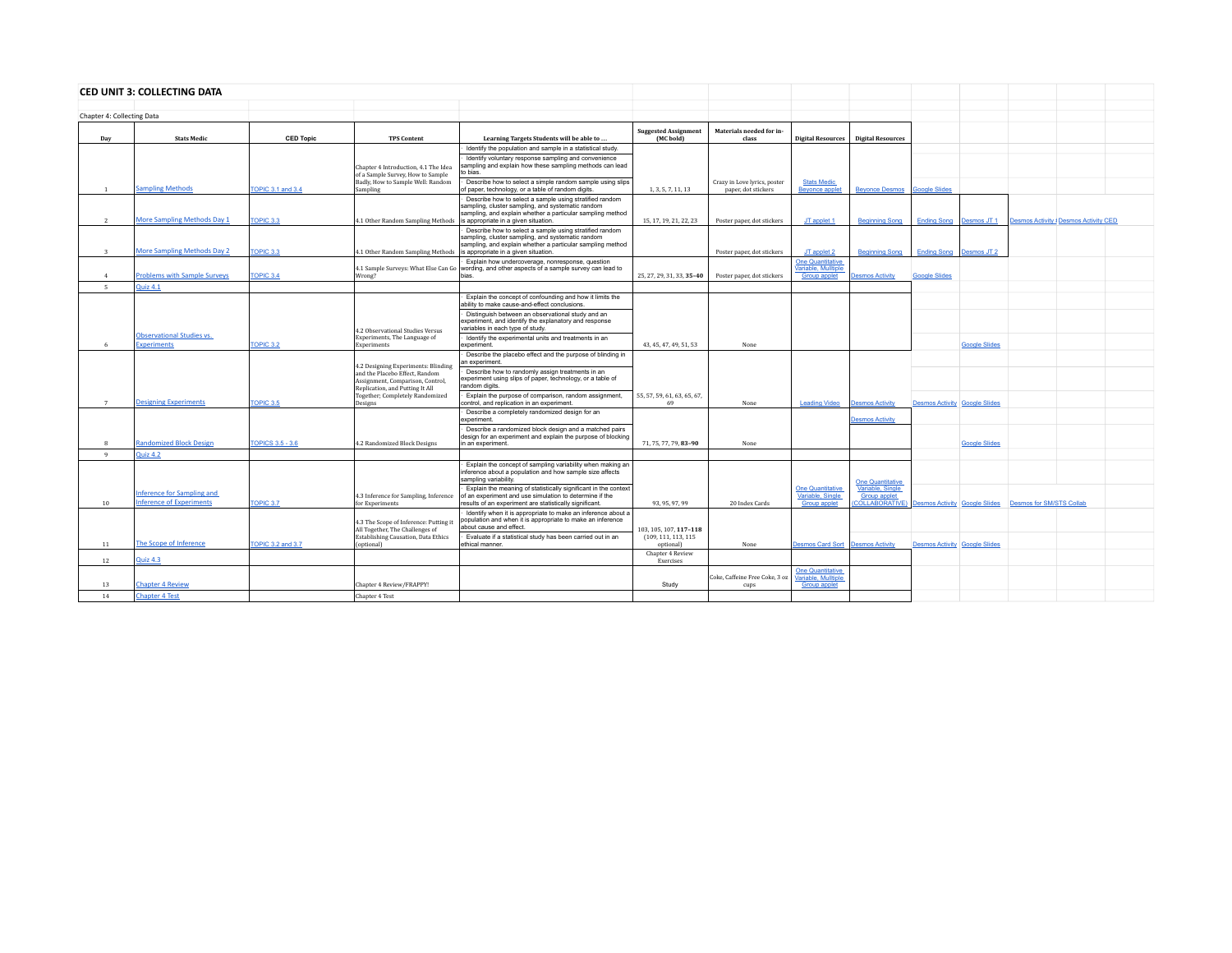|                            | <b>CED UNIT 3: COLLECTING DATA</b>                            |                          |                                                                                                       |                                                                                                                                                                                                                    |                                          |                                                     |                                                                       |                                                                                          |                                      |                                |                          |                                       |  |
|----------------------------|---------------------------------------------------------------|--------------------------|-------------------------------------------------------------------------------------------------------|--------------------------------------------------------------------------------------------------------------------------------------------------------------------------------------------------------------------|------------------------------------------|-----------------------------------------------------|-----------------------------------------------------------------------|------------------------------------------------------------------------------------------|--------------------------------------|--------------------------------|--------------------------|---------------------------------------|--|
|                            |                                                               |                          |                                                                                                       |                                                                                                                                                                                                                    |                                          |                                                     |                                                                       |                                                                                          |                                      |                                |                          |                                       |  |
| Chapter 4: Collecting Data |                                                               |                          |                                                                                                       |                                                                                                                                                                                                                    |                                          |                                                     |                                                                       |                                                                                          |                                      |                                |                          |                                       |  |
| Day                        | <b>Stats Medic</b>                                            | <b>CED Topic</b>         | <b>TPS Content</b>                                                                                    | Learning Targets Students will be able to                                                                                                                                                                          | <b>Suggested Assignment</b><br>(MC bold) | Materials needed for in-<br>class                   |                                                                       | Digital Resources   Digital Resources                                                    |                                      |                                |                          |                                       |  |
|                            |                                                               |                          |                                                                                                       | Identify the population and sample in a statistical study.                                                                                                                                                         |                                          |                                                     |                                                                       |                                                                                          |                                      |                                |                          |                                       |  |
|                            |                                                               |                          | Chapter 4 Introduction, 4.1 The Idea<br>of a Sample Survey. How to Sample                             | Identify voluntary response sampling and convenience<br>sampling and explain how these sampling methods can lead<br>to bias.                                                                                       |                                          |                                                     |                                                                       |                                                                                          |                                      |                                |                          |                                       |  |
| 1                          | <b>Sampling Methods</b>                                       | <b>TOPIC 3.1 and 3.4</b> | Badly, How to Sample Well: Random<br>Sampling                                                         | Describe how to select a simple random sample using slips<br>of paper, technology, or a table of random digits.                                                                                                    | 1, 3, 5, 7, 11, 13                       | Crazy in Love lyrics, poster<br>paper, dot stickers | <b>Stats Medic</b><br><b>Beyonce applet</b>                           | <b>Beyonce Desmos</b> Google Slides                                                      |                                      |                                |                          |                                       |  |
| <sup>2</sup>               | <b>More Sampling Methods Day 1</b>                            | TOPIC <sub>3.3</sub>     | 4.1 Other Random Sampling Methods                                                                     | Describe how to select a sample using stratified random<br>sampling, cluster sampling, and systematic random<br>sampling, and explain whether a particular sampling method<br>is appropriate in a given situation. | 15, 17, 19, 21, 22, 23                   | Poster paper, dot stickers                          | JT applet 1                                                           | <b>Beginning Song</b>                                                                    |                                      | <b>Ending Song Desmos JT 1</b> |                          | Desmos Activity   Desmos Activity CED |  |
|                            |                                                               |                          |                                                                                                       | Describe how to select a sample using stratified random<br>sampling, cluster sampling, and systematic random<br>sampling, and explain whether a particular sampling method                                         |                                          |                                                     |                                                                       |                                                                                          |                                      |                                |                          |                                       |  |
| $\overline{\mathbf{3}}$    | <b>More Sampling Methods Day 2</b>                            | TOPIC <sub>3.3</sub>     | 4.1 Other Random Sampling Methods                                                                     | is appropriate in a given situation.                                                                                                                                                                               |                                          | Poster paper, dot stickers                          | JT applet 2                                                           | <b>Beginning Song</b>                                                                    |                                      | Ending Song Desmos JT 2        |                          |                                       |  |
| 4                          | <b>Problems with Sample Surveys</b>                           | TOPIC <sub>3.4</sub>     | 4.1 Sample Surveys: What Else Can Go<br>Wrong?                                                        | Explain how undercoverage, nonresponse, question<br>wording, and other aspects of a sample survey can lead to<br>hias                                                                                              | 25, 27, 29, 31, 33, 35-40                | Poster paper, dot stickers                          | <b>One Quantitative</b><br>Variable, Mulltiple<br><b>Group applet</b> | <b>Desmos Activity</b>                                                                   | <b>Google Slides</b>                 |                                |                          |                                       |  |
| 5                          | <b>Quiz 4.1</b>                                               |                          |                                                                                                       |                                                                                                                                                                                                                    |                                          |                                                     |                                                                       |                                                                                          |                                      |                                |                          |                                       |  |
|                            |                                                               |                          |                                                                                                       | Explain the concept of confounding and how it limits the<br>ability to make cause-and-effect conclusions.                                                                                                          |                                          |                                                     |                                                                       |                                                                                          |                                      |                                |                          |                                       |  |
|                            |                                                               |                          | 4.2 Observational Studies Versus                                                                      | Distinguish between an observational study and an<br>experiment, and identify the explanatory and response<br>variables in each type of study.                                                                     |                                          |                                                     |                                                                       |                                                                                          |                                      |                                |                          |                                       |  |
|                            | <b>Observational Studies vs.</b>                              |                          | Experiments, The Language of                                                                          | Identify the experimental units and treatments in an                                                                                                                                                               |                                          |                                                     |                                                                       |                                                                                          |                                      |                                |                          |                                       |  |
| -6                         | <b>Experiments</b>                                            | TOPIC 3.2                | Experiments                                                                                           | experiment.                                                                                                                                                                                                        | 43, 45, 47, 49, 51, 53                   | None                                                |                                                                       |                                                                                          |                                      | <b>Google Slides</b>           |                          |                                       |  |
|                            |                                                               |                          | 4.2 Designing Experiments: Blinding                                                                   | Describe the placebo effect and the purpose of blinding in<br>an experiment.                                                                                                                                       |                                          |                                                     |                                                                       |                                                                                          |                                      |                                |                          |                                       |  |
|                            |                                                               |                          | and the Placebo Effect. Random<br>Assignment, Comparison, Control,<br>Replication, and Putting It All | Describe how to randomly assign treatments in an<br>experiment using slips of paper, technology, or a table of<br>random digits.                                                                                   |                                          |                                                     |                                                                       |                                                                                          |                                      |                                |                          |                                       |  |
| $7\phantom{.0}$            | <b>Designing Experiments</b>                                  | TOPIC 3.5                | Together; Completely Randomized<br>Designs                                                            | Explain the purpose of comparison, random assignment,<br>control, and replication in an experiment.                                                                                                                | 55, 57, 59, 61, 63, 65, 67,<br>69        | None                                                | <b>Leading Video</b>                                                  | <b>Desmos Activity</b>                                                                   | <b>Desmos Activity Google Slides</b> |                                |                          |                                       |  |
|                            |                                                               |                          |                                                                                                       | Describe a completely randomized design for an<br>experiment.                                                                                                                                                      |                                          |                                                     |                                                                       | <b>Desmos Activity</b>                                                                   |                                      |                                |                          |                                       |  |
|                            |                                                               |                          |                                                                                                       | Describe a randomized block design and a matched pairs<br>design for an experiment and explain the purpose of blocking                                                                                             |                                          |                                                     |                                                                       |                                                                                          |                                      |                                |                          |                                       |  |
| $\mathcal{R}$              | <b>Randomized Block Design</b>                                | <b>TOPICS 3.5 - 3.6</b>  | 4.2 Randomized Block Designs                                                                          | in an experiment.                                                                                                                                                                                                  | 71, 75, 77, 79, 83-90                    | None                                                |                                                                       |                                                                                          |                                      | <b>Google Slides</b>           |                          |                                       |  |
| Q                          | Quiz 4.2                                                      |                          |                                                                                                       |                                                                                                                                                                                                                    |                                          |                                                     |                                                                       |                                                                                          |                                      |                                |                          |                                       |  |
|                            |                                                               |                          |                                                                                                       | Explain the concept of sampling variability when making an<br>inference about a population and how sample size affects<br>sampling variability.                                                                    |                                          |                                                     |                                                                       | <b>One Quantitative</b>                                                                  |                                      |                                |                          |                                       |  |
| 10                         | Inference for Sampling and<br><b>Inference of Experiments</b> | TOPIC 3.7                | 4.3 Inference for Sampling, Inference<br>for Experiments                                              | Explain the meaning of statistically significant in the context<br>of an experiment and use simulation to determine if the<br>results of an experiment are statistically significant.                              | 93, 95, 97, 99                           | 20 Index Cards                                      | <b>One Quantitative</b><br>Variable, Single<br>Group applet           | Variable, Single<br><b>Group applet</b><br>(COLLABORATIVE) Desmos Activity Google Slides |                                      |                                | Desmos for SM/STS Collab |                                       |  |
|                            |                                                               |                          | 4.3 The Scope of Inference: Putting it<br>All Together, The Challenges of                             | Identify when it is appropriate to make an inference about a<br>population and when it is appropriate to make an inference<br>about cause and effect.                                                              | 103.105.107.117-118                      |                                                     |                                                                       |                                                                                          |                                      |                                |                          |                                       |  |
| 11                         | The Scope of Inference                                        | TOPIC 3.2 and 3.7        | Establishing Causation, Data Ethics<br>(optional)                                                     | Evaluate if a statistical study has been carried out in an<br>ethical manner.                                                                                                                                      | (109, 111, 113, 115)<br>optional)        | None                                                | Desmos Card Sort Desmos Activity                                      |                                                                                          | <b>Desmos Activity Google Slides</b> |                                |                          |                                       |  |
| 12                         | <b>Quiz 4.3</b>                                               |                          |                                                                                                       |                                                                                                                                                                                                                    | Chapter 4 Review<br>Exercises            |                                                     |                                                                       |                                                                                          |                                      |                                |                          |                                       |  |
|                            |                                                               |                          |                                                                                                       |                                                                                                                                                                                                                    |                                          | Coke, Caffeine Free Coke, 3 oz                      | <b>One Quantitative</b><br>Variable, Mulltiple                        |                                                                                          |                                      |                                |                          |                                       |  |
| 13                         | <b>Chapter 4 Review</b>                                       |                          | Chapter 4 Review/FRAPPY                                                                               |                                                                                                                                                                                                                    | Study                                    | cups                                                | <b>Group applet</b>                                                   |                                                                                          |                                      |                                |                          |                                       |  |
| 14                         | <b>Chapter 4 Test</b>                                         |                          | Chapter 4 Test                                                                                        |                                                                                                                                                                                                                    |                                          |                                                     |                                                                       |                                                                                          |                                      |                                |                          |                                       |  |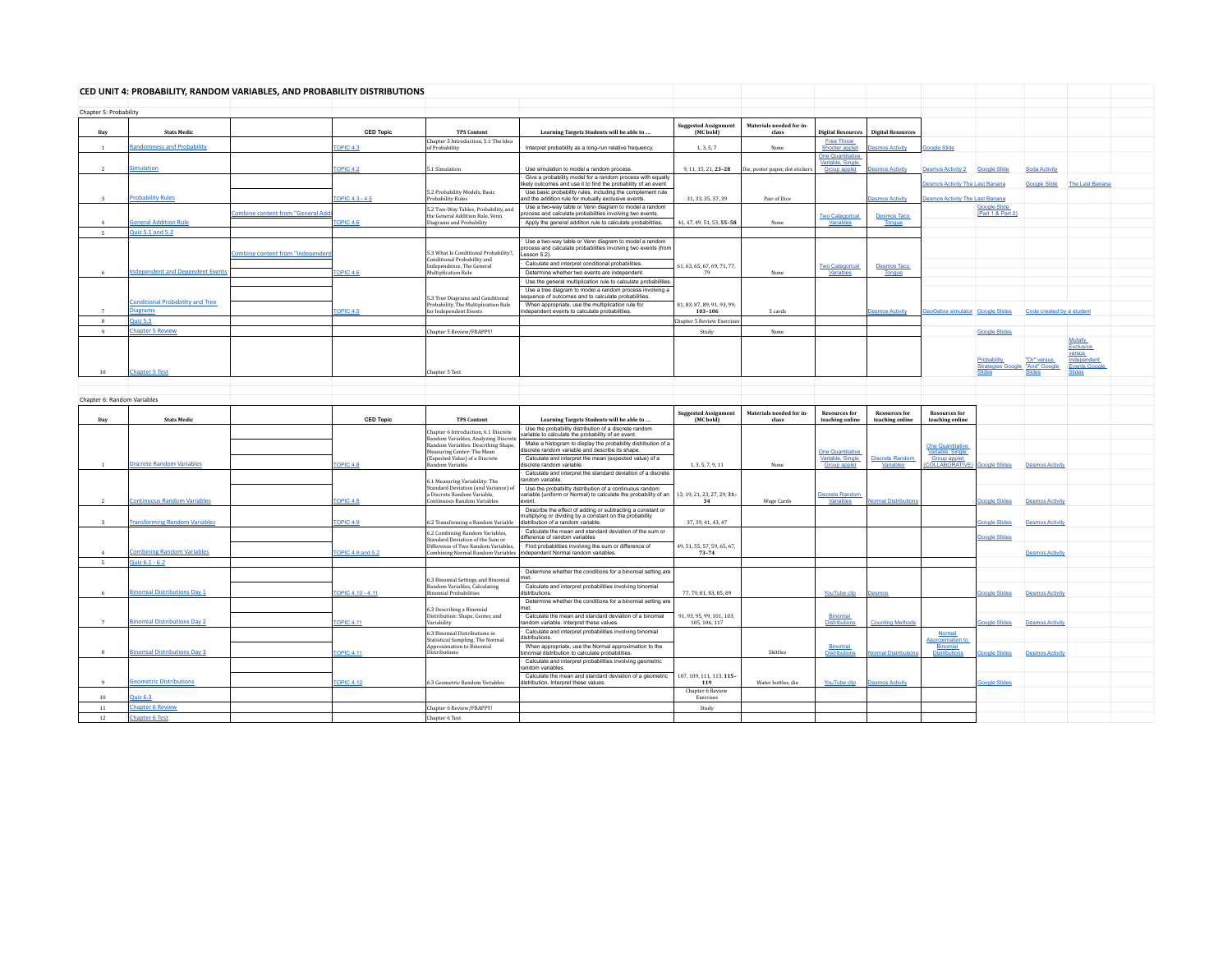|                             | CED UNIT 4: PROBABILITY, RANDOM VARIABLES, AND PROBABILITY DISTRIBUTIONS |                                                |                         |                                                                             |                                                                                                                                                              |                                          |                                   |                                             |                                         |                                         |                                          |                           |                            |
|-----------------------------|--------------------------------------------------------------------------|------------------------------------------------|-------------------------|-----------------------------------------------------------------------------|--------------------------------------------------------------------------------------------------------------------------------------------------------------|------------------------------------------|-----------------------------------|---------------------------------------------|-----------------------------------------|-----------------------------------------|------------------------------------------|---------------------------|----------------------------|
| Chapter 5: Probability      |                                                                          |                                                |                         |                                                                             |                                                                                                                                                              |                                          |                                   |                                             |                                         |                                         |                                          |                           |                            |
| Day                         | <b>Stats Medic</b>                                                       |                                                | <b>CED Topic</b>        | <b>TPS Content</b>                                                          | Learning Targets Students will be able to                                                                                                                    | <b>Suggested Assignment</b><br>(MC bold) | Materials needed for in-<br>class | <b>Digital Resources</b>                    | <b>Digital Resources</b>                |                                         |                                          |                           |                            |
|                             | andomness and Probability                                                |                                                | TOPIC <sub>4.3</sub>    | Chapter 5 Introduction, 5.1 The Idea<br>of Probability                      | Interpret probability as a long-run relative frequency.                                                                                                      | 1, 3, 5, 7                               | None                              | <b>Free Throw</b><br>hooter applet          | mos Activity                            | <b>Soogle Slide</b>                     |                                          |                           |                            |
|                             |                                                                          |                                                |                         |                                                                             |                                                                                                                                                              |                                          |                                   | <b>One Quantitative</b><br>Variable, Single |                                         |                                         |                                          |                           |                            |
| $\overline{2}$              | mulation                                                                 |                                                | <b>TOPIC 4.2</b>        | 5.1 Simulation                                                              | Use simulation to model a random process.                                                                                                                    | 9, 11, 15, 21, 23-28                     | Die, poster paper, dot stickers   | <b>Group applet</b>                         | esmos Activity                          | <b>Desmos Activity 2</b>                | <b>Google Slide</b>                      | <b>Soda Activity</b>      |                            |
|                             |                                                                          |                                                |                         |                                                                             | Give a probability model for a random process with equally<br>likely outcomes and use it to find the probability of an event.                                |                                          |                                   |                                             |                                         | smos Activity The Last Banana           |                                          | <b>Google Slide</b>       | The Last Banana            |
| $\mathcal{R}$               | <b>Probability Rules</b>                                                 |                                                | TOPIC 4.3 - 4.5         | 5.2 Probability Models, Basic<br>Probability Rules                          | Use basic probability rules, including the complement rule<br>and the addition rule for mutually exclusive events.                                           | 31, 33, 35, 37, 39                       | Pair of Dice                      |                                             | lesmos Activity                         | <b>Jesmos Activity The Last Banana</b>  |                                          |                           |                            |
|                             |                                                                          | ombine content from "General Ad                |                         | 5.2 Two-Way Tables, Probability, and<br>the General Addition Rule, Venn     | Use a two-way table or Venn diagram to model a random<br>process and calculate probabilities involving two events.                                           |                                          |                                   | <b>Two Categorical</b>                      |                                         |                                         | <b>Google Slide</b><br>(Part 1 & Part 2) |                           |                            |
| 4                           | <b>Eneral Addition Rule</b>                                              |                                                | TOPIC 4.6               | Diagrams and Probability                                                    | Apply the general addition rule to calculate probabilities.                                                                                                  | 41, 47, 49, 51, 53, 55-58                | None                              | Variables                                   | Desmos Taco                             |                                         |                                          |                           |                            |
| 5                           | Quiz 5.1 and 5.2                                                         |                                                |                         |                                                                             |                                                                                                                                                              |                                          |                                   |                                             |                                         |                                         |                                          |                           |                            |
|                             |                                                                          | <u><b>Combine content from "Independer</b></u> |                         | 5.3 What Is Conditional Probability?,                                       | Use a two-way table or Venn diagram to model a random<br>process and calculate probabilities involving two events (from<br>Lesson 5.2).                      |                                          |                                   |                                             |                                         |                                         |                                          |                           |                            |
|                             |                                                                          |                                                |                         | Conditional Probability and<br>Independence, The General                    | Calculate and interpret conditional probabilities.                                                                                                           | 61, 63, 65, 67, 69, 71, 77,              |                                   | <b>Two Categorical</b>                      | <b>Desmos Taco</b>                      |                                         |                                          |                           |                            |
|                             | ndependent and Dependent Events                                          |                                                | TOPIC 4.6               | <b>Multiplication Rule</b>                                                  | Determine whether two events are independent.                                                                                                                | 79                                       | None                              | Variables                                   | Tongue                                  |                                         |                                          |                           |                            |
|                             |                                                                          |                                                |                         |                                                                             | Use the general multiplication rule to calculate probabilities<br>Use a tree diagram to model a random process involving a                                   |                                          |                                   |                                             |                                         |                                         |                                          |                           |                            |
|                             | Conditional Probability and Tree                                         |                                                |                         | 5.3 Tree Diagrams and Conditional<br>Probability, The Multiplication Rule   | sequence of outcomes and to calculate probabilities.<br>When appropriate, use the multiplication rule for                                                    | 81, 83, 87, 89, 91, 93, 99,              |                                   |                                             |                                         |                                         |                                          |                           |                            |
|                             | <b>Diagrams</b>                                                          |                                                | TOPIC <sub>4.5</sub>    | for Independent Events                                                      | independent events to calculate probabilities.                                                                                                               | 103-106                                  | 5 cards                           |                                             | <b>Desmos Activity</b>                  | GeoGebra simulator Google Slides        |                                          | Code created by a student |                            |
| $\mathcal{R}$               | Quiz $5.3$                                                               |                                                |                         |                                                                             |                                                                                                                                                              | <b>Chapter 5 Review Exercises</b>        |                                   |                                             |                                         |                                         |                                          |                           |                            |
| 9                           | <b>Chapter 5 Review</b>                                                  |                                                |                         | Chapter 5 Review/FRAPPY!                                                    |                                                                                                                                                              | Study                                    | None                              |                                             |                                         |                                         | <b>Google Slides</b>                     |                           | Mutally                    |
|                             |                                                                          |                                                |                         |                                                                             |                                                                                                                                                              |                                          |                                   |                                             |                                         |                                         |                                          |                           | <b>Exclusive</b><br>versus |
|                             |                                                                          |                                                |                         |                                                                             |                                                                                                                                                              |                                          |                                   |                                             |                                         |                                         |                                          | "Or" versus               | Independen                 |
| 10                          | <b>Chapter 5 Test</b>                                                    |                                                |                         | Chapter 5 Test                                                              |                                                                                                                                                              |                                          |                                   |                                             |                                         |                                         |                                          | "And" Google              | <b>Events Googl</b>        |
|                             |                                                                          |                                                |                         |                                                                             |                                                                                                                                                              |                                          |                                   |                                             |                                         |                                         |                                          |                           |                            |
| Chapter 6: Random Variables |                                                                          |                                                |                         |                                                                             |                                                                                                                                                              |                                          |                                   |                                             |                                         |                                         |                                          |                           |                            |
|                             |                                                                          |                                                |                         |                                                                             |                                                                                                                                                              |                                          |                                   |                                             |                                         |                                         |                                          |                           |                            |
|                             |                                                                          |                                                |                         |                                                                             |                                                                                                                                                              |                                          |                                   |                                             |                                         |                                         |                                          |                           |                            |
| Day                         | <b>Stats Medic</b>                                                       |                                                | <b>CED Topic</b>        | <b>TPS Content</b>                                                          | Learning Targets Students will be able to                                                                                                                    | <b>Suggested Assignment</b><br>(MC bold) | Materials needed for in-<br>class | <b>Resources for</b><br>teaching online     | <b>Resources for</b><br>teaching online | <b>Resources for</b><br>teaching online |                                          |                           |                            |
|                             |                                                                          |                                                |                         | Chapter 6 Introduction, 6.1 Discrete                                        | Use the probability distribution of a discrete random<br>variable to calculate the probability of an event.                                                  |                                          |                                   |                                             |                                         |                                         |                                          |                           |                            |
|                             |                                                                          |                                                |                         | Random Variables, Analyzing Discrete<br>Random Variables: Describing Shape, | Make a histogram to display the probability distribution of a                                                                                                |                                          |                                   |                                             |                                         | <b>One Quantitative</b>                 |                                          |                           |                            |
|                             |                                                                          |                                                |                         | Measuring Center: The Mean                                                  | discrete random variable and describe its shape.<br>Calculate and interpret the mean (expected value) of a                                                   |                                          |                                   | <b>One Quantitative</b><br>Variable, Single | Discrete Random                         | Variable, Single                        |                                          |                           |                            |
|                             | Discrete Random Variables                                                |                                                | TOPIC 4.8               | (Expected Value) of a Discrete<br>Random Variable                           | discrete random variable.<br>Calculate and interpret the standard deviation of a discrete                                                                    | 1, 3, 5, 7, 9, 11                        | None                              | Group applet                                | Variables                               | Group applet<br>OLLABORATIVE            | oogle Slides                             | <b>Desmos Activity</b>    |                            |
|                             |                                                                          |                                                |                         | 6.1 Measuring Variability: The                                              | random variable.                                                                                                                                             |                                          |                                   |                                             |                                         |                                         |                                          |                           |                            |
|                             |                                                                          |                                                |                         | Standard Deviation (and Variance) of<br>a Discrete Random Variable.         | Use the probability distribution of a continuous random<br>variable (uniform or Normal) to calculate the probability of an                                   | 13, 19, 21, 23, 27, 29, 31-              |                                   | Discrete Randon                             |                                         |                                         |                                          |                           |                            |
| $\mathcal{D}$               | ontinuous Random Variables                                               |                                                | <b>TOPIC 4.8</b>        | <b>Continuous Random Variables</b>                                          | event.                                                                                                                                                       | 34                                       | <b>Wage Cards</b>                 | Variables                                   | <b>ormal Distributions</b>              |                                         | ogle Slides                              | <b>Desmos Activity</b>    |                            |
| $\mathbf{3}$                | ransforming Random Variables                                             |                                                | <b>FOPIC 4.9</b>        |                                                                             | Describe the effect of adding or subtracting a constant or<br>nultiplying or dividing by a constant on the probability<br>distribution of a random variable. | 37, 39, 41, 43, 47                       |                                   |                                             |                                         |                                         | oogle Slides                             | <b>Desmos Activity</b>    |                            |
|                             |                                                                          |                                                |                         | 6.2 Transforming a Random Variable<br>6.2 Combining Random Variables,       | Calculate the mean and standard deviation of the sum or                                                                                                      |                                          |                                   |                                             |                                         |                                         |                                          |                           |                            |
|                             |                                                                          |                                                |                         | Standard Deviation of the Sum or<br>Difference of Two Random Variables      | difference of random variables<br>Find probabilities involving the sum or difference of                                                                      | 49, 51, 55, 57, 59, 65, 67,              |                                   |                                             |                                         |                                         | oogle Slides                             |                           |                            |
|                             | <b>Imbining Random Variables</b>                                         |                                                | <b>CPIC 4.9 and 5.2</b> | Combining Normal Random Variables                                           | independent Normal random variables.                                                                                                                         | $73 - 74$                                |                                   |                                             |                                         |                                         |                                          | <b>Desmos Activity</b>    |                            |
| 5                           | Quiz $6.1 - 6.2$                                                         |                                                |                         |                                                                             | Determine whether the conditions for a binomial setting are                                                                                                  |                                          |                                   |                                             |                                         |                                         |                                          |                           |                            |
|                             |                                                                          |                                                |                         | 6.3 Binomial Settings and Binomial                                          |                                                                                                                                                              |                                          |                                   |                                             |                                         |                                         |                                          |                           |                            |
|                             | inomial Distributions Day 1                                              |                                                | TOPIC 4.10 - 4.11       | Random Variables, Calculating<br><b>Binomial Probabilities</b>              | Calculate and interpret probabilities involving binomial<br>distributions.                                                                                   | 77, 79, 81, 83, 85, 89                   |                                   | YouTube clip                                |                                         |                                         | onle Slides                              | <b>Desmos Activity</b>    |                            |
|                             |                                                                          |                                                |                         | 6.3 Describing a Binomial                                                   | Determine whether the conditions for a binomial setting are                                                                                                  |                                          |                                   |                                             |                                         |                                         |                                          |                           |                            |
| $\mathcal{L}$               |                                                                          |                                                |                         | Distribution: Shape, Center, and                                            | Calculate the mean and standard deviation of a binomial                                                                                                      |                                          |                                   | <b>Binomial</b>                             |                                         |                                         |                                          |                           |                            |
|                             | inomial Distributions Day 2                                              |                                                | <b>COPIC 4.11</b>       | Variability<br>6.3 Binomial Distributions in                                | random variable. Interpret these values.<br>Calculate and interpret probabilities involving binomial                                                         | 91, 93, 95, 99, 101, 103, 105, 106, 117  |                                   |                                             | Counting Methods                        | Normal                                  | cogle Slides                             | <b>Desmos Activity</b>    |                            |
|                             |                                                                          |                                                |                         | Statistical Sampling, The Normal<br>Approximation to Binomial               | distributions.<br>When appropriate, use the Normal approximation to the                                                                                      |                                          |                                   | Binomial                                    |                                         | <b>Approximation to</b><br>Binomial     |                                          |                           |                            |
|                             | inomial Distributions Day 3                                              |                                                | <b>FOPIC 4.11</b>       | Distributions                                                               | binomial distribution to calculate probabilities.                                                                                                            |                                          | Skittles                          | <b>Distribution:</b>                        | <b>Imal Distribution</b>                | <b>Distributions</b>                    | ogle Slides                              | <b>Desmos Activity</b>    |                            |
|                             |                                                                          |                                                |                         |                                                                             | Calculate and interpret probabilities involving geometric<br>random variables.                                                                               |                                          |                                   |                                             |                                         |                                         |                                          |                           |                            |
| Q                           | <b>Seometric Distributions</b>                                           |                                                | <b>TOPIC 4.12</b>       | 6.3 Geometric Random Variables                                              | Calculate the mean and standard deviation of a geometric<br>distribution. Interpret these values.                                                            | 107, 109, 111, 113, 115-<br>119          | Water bottles, die                | YouTube clip                                | <b>Desmos Activity</b>                  |                                         | oogle Slides                             |                           |                            |
| 10                          | 10763                                                                    |                                                |                         |                                                                             |                                                                                                                                                              | Chapter 6 Review<br>Exercises            |                                   |                                             |                                         |                                         |                                          |                           |                            |
| 11                          | <b>Chapter 6 Review</b>                                                  |                                                |                         | Chapter 6 Review/FRAPPY!                                                    |                                                                                                                                                              | Study                                    |                                   |                                             |                                         |                                         |                                          |                           |                            |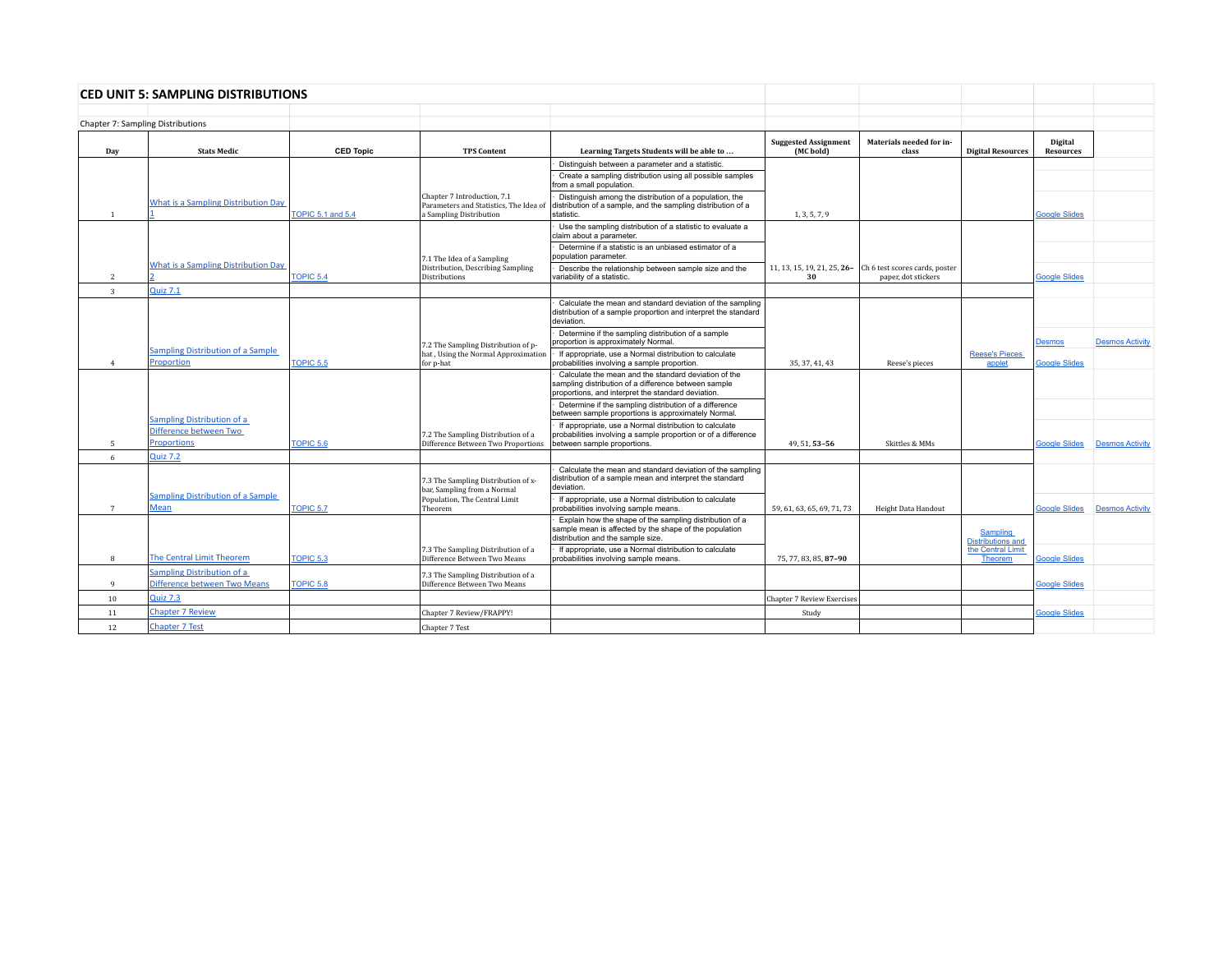|                         | <b>CED UNIT 5: SAMPLING DISTRIBUTIONS</b>                  |                          |                                                                                                  |                                                                                                                                                                    |                                          |                                                                                   |                                             |                             |                        |
|-------------------------|------------------------------------------------------------|--------------------------|--------------------------------------------------------------------------------------------------|--------------------------------------------------------------------------------------------------------------------------------------------------------------------|------------------------------------------|-----------------------------------------------------------------------------------|---------------------------------------------|-----------------------------|------------------------|
|                         |                                                            |                          |                                                                                                  |                                                                                                                                                                    |                                          |                                                                                   |                                             |                             |                        |
|                         | Chapter 7: Sampling Distributions                          |                          |                                                                                                  |                                                                                                                                                                    |                                          |                                                                                   |                                             |                             |                        |
| Day                     | <b>Stats Medic</b>                                         | <b>CED Topic</b>         | <b>TPS Content</b>                                                                               | Learning Targets Students will be able to                                                                                                                          | <b>Suggested Assignment</b><br>(MC bold) | Materials needed for in-<br>class                                                 | <b>Digital Resources</b>                    | Digital<br><b>Resources</b> |                        |
|                         |                                                            |                          |                                                                                                  | Distinguish between a parameter and a statistic.                                                                                                                   |                                          |                                                                                   |                                             |                             |                        |
|                         |                                                            |                          |                                                                                                  | Create a sampling distribution using all possible samples<br>from a small population.                                                                              |                                          |                                                                                   |                                             |                             |                        |
| $\overline{1}$          | <b>What is a Sampling Distribution Day</b>                 | <b>TOPIC 5.1 and 5.4</b> | Chapter 7 Introduction, 7.1<br>Parameters and Statistics. The Idea of<br>a Sampling Distribution | Distinguish among the distribution of a population, the<br>distribution of a sample, and the sampling distribution of a<br>statistic.                              | 1, 3, 5, 7, 9                            |                                                                                   |                                             | <b>Google Slides</b>        |                        |
|                         |                                                            |                          |                                                                                                  | Use the sampling distribution of a statistic to evaluate a<br>claim about a parameter.                                                                             |                                          |                                                                                   |                                             |                             |                        |
|                         |                                                            |                          | 7.1 The Idea of a Sampling                                                                       | Determine if a statistic is an unbiased estimator of a<br>population parameter.                                                                                    |                                          |                                                                                   |                                             |                             |                        |
| 2                       | <b>What is a Sampling Distribution Day</b>                 | TOPIC 5.4                | Distribution, Describing Sampling<br><b>Distributions</b>                                        | Describe the relationship between sample size and the<br>variability of a statistic.                                                                               | 30                                       | 11, 13, 15, 19, 21, 25, 26- Ch 6 test scores cards, poster<br>paper, dot stickers |                                             | <b>Google Slides</b>        |                        |
| $\overline{\mathbf{3}}$ | <b>Quiz 7.1</b>                                            |                          |                                                                                                  |                                                                                                                                                                    |                                          |                                                                                   |                                             |                             |                        |
|                         |                                                            |                          |                                                                                                  | Calculate the mean and standard deviation of the sampling<br>distribution of a sample proportion and interpret the standard<br>deviation.                          |                                          |                                                                                   |                                             |                             |                        |
|                         |                                                            |                          | 7.2 The Sampling Distribution of p-                                                              | Determine if the sampling distribution of a sample<br>proportion is approximately Normal.                                                                          |                                          |                                                                                   |                                             | <b>Desmos</b>               | <b>Desmos Activity</b> |
| $\overline{4}$          | <b>Sampling Distribution of a Sample</b><br>Proportion     | <b>TOPIC 5.5</b>         | hat, Using the Normal Approximation<br>for p-hat                                                 | If appropriate, use a Normal distribution to calculate<br>probabilities involving a sample proportion.                                                             | 35.37.41.43                              | Reese's pieces                                                                    | <b>Reese's Pieces</b><br>applet             | <b>Google Slides</b>        |                        |
|                         |                                                            |                          |                                                                                                  | Calculate the mean and the standard deviation of the<br>sampling distribution of a difference between sample<br>proportions, and interpret the standard deviation. |                                          |                                                                                   |                                             |                             |                        |
|                         |                                                            |                          |                                                                                                  | Determine if the sampling distribution of a difference<br>between sample proportions is approximately Normal.                                                      |                                          |                                                                                   |                                             |                             |                        |
|                         | Sampling Distribution of a<br>Difference between Two       |                          | 7.2 The Sampling Distribution of a                                                               | If appropriate, use a Normal distribution to calculate<br>probabilities involving a sample proportion or of a difference                                           |                                          |                                                                                   |                                             |                             |                        |
| 5                       | <b>Proportions</b>                                         | <b>TOPIC 5.6</b>         | Difference Between Two Proportions                                                               | between sample proportions.                                                                                                                                        | 49, 51, 53-56                            | Skittles & MMs                                                                    |                                             | <b>Google Slides</b>        | <b>Desmos Activity</b> |
| 6                       | Quiz 7.2                                                   |                          | 7.3 The Sampling Distribution of x-<br>bar, Sampling from a Normal                               | Calculate the mean and standard deviation of the sampling<br>distribution of a sample mean and interpret the standard<br>deviation.                                |                                          |                                                                                   |                                             |                             |                        |
| $\overline{7}$          | Sampling Distribution of a Sample<br>Mean                  | <b>TOPIC 5.7</b>         | Population, The Central Limit<br>Theorem                                                         | If appropriate, use a Normal distribution to calculate<br>probabilities involving sample means.                                                                    | 59.61.63.65.69.71.73                     | Height Data Handout                                                               |                                             | <b>Google Slides</b>        | <b>Desmos Activity</b> |
|                         |                                                            |                          |                                                                                                  | Explain how the shape of the sampling distribution of a<br>sample mean is affected by the shape of the population<br>distribution and the sample size.             |                                          |                                                                                   | <b>Sampling</b><br><b>Distributions and</b> |                             |                        |
| 8                       | <b>The Central Limit Theorem</b>                           | <b>TOPIC 5.3</b>         | 7.3 The Sampling Distribution of a<br>Difference Between Two Means                               | If appropriate, use a Normal distribution to calculate<br>probabilities involving sample means.                                                                    | 75, 77, 83, 85, 87-90                    |                                                                                   | the Central Limit<br><b>Theorem</b>         | <b>Google Slides</b>        |                        |
| 9                       | Sampling Distribution of a<br>Difference between Two Means | <b>TOPIC 5.8</b>         | 7.3 The Sampling Distribution of a<br>Difference Between Two Means                               |                                                                                                                                                                    |                                          |                                                                                   |                                             | <b>Google Slides</b>        |                        |
| 10                      | <b>Quiz 7.3</b>                                            |                          |                                                                                                  |                                                                                                                                                                    | <b>Chapter 7 Review Exercises</b>        |                                                                                   |                                             |                             |                        |
| 11                      | <b>Chapter 7 Review</b>                                    |                          | Chapter 7 Review/FRAPPY!                                                                         |                                                                                                                                                                    | Study                                    |                                                                                   |                                             | <b>Google Slides</b>        |                        |
| 12                      | <b>Chapter 7 Test</b>                                      |                          | Chapter 7 Test                                                                                   |                                                                                                                                                                    |                                          |                                                                                   |                                             |                             |                        |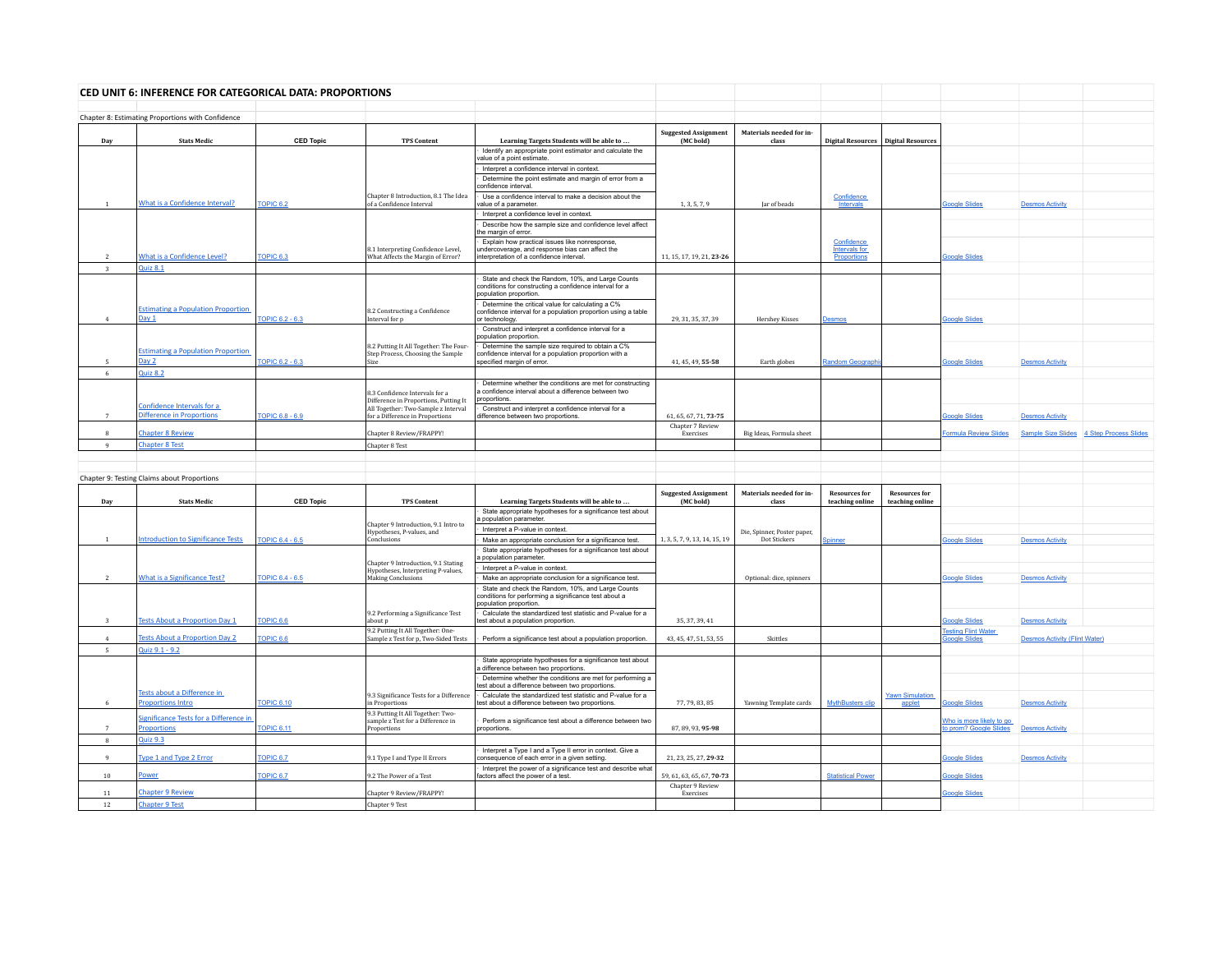|                              | CED UNIT 6: INFERENCE FOR CATEGORICAL DATA: PROPORTIONS      |                      |                                                                                       |                                                                                                                                   |                                          |                                   |                                         |                                         |                                                    |                                      |                                          |
|------------------------------|--------------------------------------------------------------|----------------------|---------------------------------------------------------------------------------------|-----------------------------------------------------------------------------------------------------------------------------------|------------------------------------------|-----------------------------------|-----------------------------------------|-----------------------------------------|----------------------------------------------------|--------------------------------------|------------------------------------------|
|                              | Chapter 8: Estimating Proportions with Confidence            |                      |                                                                                       |                                                                                                                                   |                                          |                                   |                                         |                                         |                                                    |                                      |                                          |
| Dav                          | <b>Stats Medic</b>                                           | <b>CED Topic</b>     | <b>TPS Content</b>                                                                    | Learning Targets Students will be able to                                                                                         | <b>Suggested Assignment</b><br>(MC bold) | Materials needed for in-<br>class |                                         | Digital Resources   Digital Resources   |                                                    |                                      |                                          |
|                              |                                                              |                      |                                                                                       | Identify an appropriate point estimator and calculate the<br>value of a point estimate                                            |                                          |                                   |                                         |                                         |                                                    |                                      |                                          |
|                              |                                                              |                      |                                                                                       | Interpret a confidence interval in context.                                                                                       |                                          |                                   |                                         |                                         |                                                    |                                      |                                          |
|                              |                                                              |                      |                                                                                       | Determine the point estimate and margin of error from a<br>confidence interval.                                                   |                                          |                                   |                                         |                                         |                                                    |                                      |                                          |
| $\overline{1}$               | <b>What is a Confidence Interval?</b>                        | <b>OPIC 6.2</b>      | Chapter 8 Introduction, 8.1 The Idea<br>of a Confidence Interval                      | Use a confidence interval to make a decision about the<br>value of a parameter                                                    | 1, 3, 5, 7, 9                            | Jar of beads                      | Confidence<br>Intervals                 |                                         | <b>Google Slides</b>                               | <b>Desmos Activity</b>               |                                          |
|                              |                                                              |                      |                                                                                       | Interpret a confidence level in context.                                                                                          |                                          |                                   |                                         |                                         |                                                    |                                      |                                          |
|                              |                                                              |                      |                                                                                       | Describe how the sample size and confidence level affect<br>the margin of error.                                                  |                                          |                                   |                                         |                                         |                                                    |                                      |                                          |
|                              |                                                              |                      | 8.1 Interpreting Confidence Level,                                                    | Explain how practical issues like nonresponse,<br>undercoverage, and response bias can affect the                                 |                                          |                                   | Confidence<br><b>Intervals for</b>      |                                         |                                                    |                                      |                                          |
| $\overline{\mathbf{3}}$      | <b>What is a Confidence Level?</b><br><b>Quiz 8.1</b>        | <b>OPIC 6.3</b>      | What Affects the Margin of Error?                                                     | interpretation of a confidence interval.                                                                                          | 11, 15, 17, 19, 21, 23-26                |                                   | Proportions                             |                                         | <b>Google Slides</b>                               |                                      |                                          |
|                              |                                                              |                      |                                                                                       | State and check the Random, 10%, and Large Counts                                                                                 |                                          |                                   |                                         |                                         |                                                    |                                      |                                          |
|                              |                                                              |                      |                                                                                       | conditions for constructing a confidence interval for a<br>population proportion.                                                 |                                          |                                   |                                         |                                         |                                                    |                                      |                                          |
|                              | <b>Estimating a Population Proportion</b>                    |                      |                                                                                       | Determine the critical value for calculating a C%                                                                                 |                                          |                                   |                                         |                                         |                                                    |                                      |                                          |
| $\mathbf{A}$                 | Day 1                                                        | TOPIC 6.2 - 6.3      | 8.2 Constructing a Confidence<br>Interval for p                                       | confidence interval for a population proportion using a table<br>or technology.                                                   | 29, 31, 35, 37, 39                       | <b>Hershey Kisses</b>             | Desmos                                  |                                         | <b>Google Slides</b>                               |                                      |                                          |
|                              |                                                              |                      |                                                                                       | Construct and interpret a confidence interval for a<br>population proportion.                                                     |                                          |                                   |                                         |                                         |                                                    |                                      |                                          |
|                              | <b>Estimating a Population Proportion</b>                    |                      | 8.2 Putting It All Together: The Four-<br>Step Process, Choosing the Sample           | Determine the sample size required to obtain a C%<br>confidence interval for a population proportion with a                       |                                          |                                   |                                         |                                         |                                                    |                                      |                                          |
| 5                            | Day 2                                                        | TOPIC 6.2 - 6.3      | Size                                                                                  | specified margin of error.                                                                                                        | 41, 45, 49, 55-58                        | Earth globes                      | Random Geograph                         |                                         | <b>Google Slides</b>                               | <b>Desmos Activity</b>               |                                          |
| 6                            | <b>Quiz 8.2</b>                                              |                      |                                                                                       |                                                                                                                                   |                                          |                                   |                                         |                                         |                                                    |                                      |                                          |
|                              |                                                              |                      | 8.3 Confidence Intervals for a<br>Difference in Proportions, Putting It               | Determine whether the conditions are met for constructing<br>a confidence interval about a difference between two<br>proportions. |                                          |                                   |                                         |                                         |                                                    |                                      |                                          |
| $\overline{7}$               | Confidence Intervals for a<br>Difference in Proportions      | TOPIC 6.8 - 6.9      | All Together: Two-Sample z Interval<br>for a Difference in Proportions                | Construct and interpret a confidence interval for a<br>difference between two proportions.                                        | 61, 65, 67, 71, 73-75                    |                                   |                                         |                                         | <b>Google Slides</b>                               | <b>Desmos Activity</b>               |                                          |
|                              |                                                              |                      |                                                                                       |                                                                                                                                   | Chapter 7 Review                         |                                   |                                         |                                         |                                                    |                                      |                                          |
| $\mathbf{a}$<br>$\mathbf{q}$ | <b>Chapter 8 Review</b><br><b>Chapter 8 Test</b>             |                      | Chapter 8 Review/FRAPPY!<br>Chapter 8 Test                                            |                                                                                                                                   | Exercises                                | Big Ideas, Formula sheet          |                                         |                                         | <b>Formula Review Slides</b>                       |                                      | Sample Size Slides 4 Step Process Slides |
|                              |                                                              |                      |                                                                                       |                                                                                                                                   |                                          |                                   |                                         |                                         |                                                    |                                      |                                          |
|                              |                                                              |                      |                                                                                       |                                                                                                                                   |                                          |                                   |                                         |                                         |                                                    |                                      |                                          |
|                              | Chapter 9: Testing Claims about Proportions                  |                      |                                                                                       |                                                                                                                                   |                                          |                                   |                                         |                                         |                                                    |                                      |                                          |
| Day                          | <b>Stats Medic</b>                                           | <b>CED Topic</b>     | <b>TPS Content</b>                                                                    | Learning Targets Students will be able to                                                                                         | <b>Suggested Assignment</b><br>(MC bold) | Materials needed for in-<br>class | <b>Resources for</b><br>teaching online | <b>Resources for</b><br>teaching online |                                                    |                                      |                                          |
|                              |                                                              |                      | Chapter 9 Introduction, 9.1 Intro to                                                  | State appropriate hypotheses for a significance test about<br>a population parameter.                                             |                                          |                                   |                                         |                                         |                                                    |                                      |                                          |
|                              |                                                              |                      | Hypotheses, P-values, and                                                             | Interpret a P-value in context.                                                                                                   |                                          | Die, Spinner, Poster paper,       |                                         |                                         |                                                    |                                      |                                          |
| $\overline{1}$               | ntroduction to Significance Tests                            | TOPIC 6.4 - 6.5      | Conclusions                                                                           | Make an appropriate conclusion for a significance test.<br>State appropriate hypotheses for a significance test about             | 1, 3, 5, 7, 9, 13, 14, 15, 19            | Dot Stickers                      | <u>Spinner</u>                          |                                         | <b>Boogle Slides</b>                               | <b>Desmos Activity</b>               |                                          |
|                              |                                                              |                      | Chapter 9 Introduction, 9.1 Stating                                                   | population parameter.                                                                                                             |                                          |                                   |                                         |                                         |                                                    |                                      |                                          |
| <sup>2</sup>                 | What is a Significance Test?                                 | TOPIC 6.4 - 6.5      | Hypotheses, Interpreting P-values,<br>Making Conclusions                              | Interpret a P-value in context.<br>Make an appropriate conclusion for a significance test.                                        |                                          | Optional: dice, spinners          |                                         |                                         | <b>Google Slides</b>                               | <b>Desmos Activity</b>               |                                          |
|                              |                                                              |                      |                                                                                       | State and check the Random, 10%, and Large Counts                                                                                 |                                          |                                   |                                         |                                         |                                                    |                                      |                                          |
|                              |                                                              |                      |                                                                                       | conditions for performing a significance test about a<br>population proportion.                                                   |                                          |                                   |                                         |                                         |                                                    |                                      |                                          |
| $\mathbf{3}$                 | <b>Tests About a Proportion Day 1</b>                        | <b>TOPIC 6.6</b>     | 9.2 Performing a Significance Test<br>about p                                         | Calculate the standardized test statistic and P-value for a<br>test about a population proportion.                                | 35, 37, 39, 41                           |                                   |                                         |                                         | <b>Google Slides</b>                               | <b>Desmos Activity</b>               |                                          |
| $\overline{4}$               | <b>Tests About a Proportion Day 2</b>                        |                      | 9.2 Putting It All Together: One-                                                     |                                                                                                                                   |                                          | Skittles                          |                                         |                                         | <b>Testing Flint Water</b>                         |                                      |                                          |
| 5                            | Quiz 9.1 - 9.2                                               | TOPIC 6.6            | Sample z Test for p, Two-Sided Tests                                                  | Perform a significance test about a population proportion.                                                                        | 43, 45, 47, 51, 53, 55                   |                                   |                                         |                                         | <b>Soogle Slides</b>                               | <b>Desmos Activity (Flint Water)</b> |                                          |
|                              |                                                              |                      |                                                                                       | State appropriate hypotheses for a significance test about                                                                        |                                          |                                   |                                         |                                         |                                                    |                                      |                                          |
|                              |                                                              |                      |                                                                                       | a difference between two proportions.<br>Determine whether the conditions are met for performing a                                |                                          |                                   |                                         |                                         |                                                    |                                      |                                          |
|                              | Tests about a Difference in                                  |                      |                                                                                       | test about a difference between two proportions.<br>Calculate the standardized test statistic and P-value for a                   |                                          |                                   |                                         |                                         |                                                    |                                      |                                          |
| -6                           | <b>Proportions Intro</b>                                     | <b>TOPIC 6.10</b>    | 9.3 Significance Tests for a Difference<br>in Proportions                             | test about a difference between two proportions.                                                                                  | 77, 79, 83, 85                           | Yawning Template cards            | <b>MythBusters clip</b>                 | <b>Yawn Simulation</b><br>applet        | <b>Soogle Slides</b>                               | <b>Desmos Activity</b>               |                                          |
|                              | Significance Tests for a Difference in<br><b>Proportions</b> | <b>OPIC 6.11</b>     | 9.3 Putting It All Together: Two-<br>sample z Test for a Difference in<br>Proportions | Perform a significance test about a difference between two<br>proportions.                                                        | 87, 89, 93, 95-98                        |                                   |                                         |                                         | Who is more likely to go<br>to prom? Google Slides | <b>Desmos Activity</b>               |                                          |
| 8                            | <b>Quiz 9.3</b>                                              |                      |                                                                                       |                                                                                                                                   |                                          |                                   |                                         |                                         |                                                    |                                      |                                          |
| $\mathbf{q}$                 | Type 1 and Type 2 Error                                      | TOPIC <sub>6.7</sub> | 9.1 Type I and Type II Errors                                                         | Interpret a Type I and a Type II error in context. Give a<br>consequence of each error in a given setting.                        | 21, 23, 25, 27, 29-32                    |                                   |                                         |                                         | <b>Google Slides</b>                               | <b>Desmos Activity</b>               |                                          |
| 10 <sup>10</sup>             | Power                                                        | TOPIC <sub>6.7</sub> | 9.2 The Power of a Test                                                               | Interpret the power of a significance test and describe what<br>factors affect the power of a test.                               | 59, 61, 63, 65, 67, 70-73                |                                   | <b>Statistical Power</b>                |                                         | <b>Soogle Slides</b>                               |                                      |                                          |
| 11                           | <b>Chapter 9 Review</b>                                      |                      | Chapter 9 Review/FRAPPY!                                                              |                                                                                                                                   | Chapter 9 Review<br>Exercises            |                                   |                                         |                                         | <b>Soogle Slides</b>                               |                                      |                                          |
|                              |                                                              |                      |                                                                                       |                                                                                                                                   |                                          |                                   |                                         |                                         |                                                    |                                      |                                          |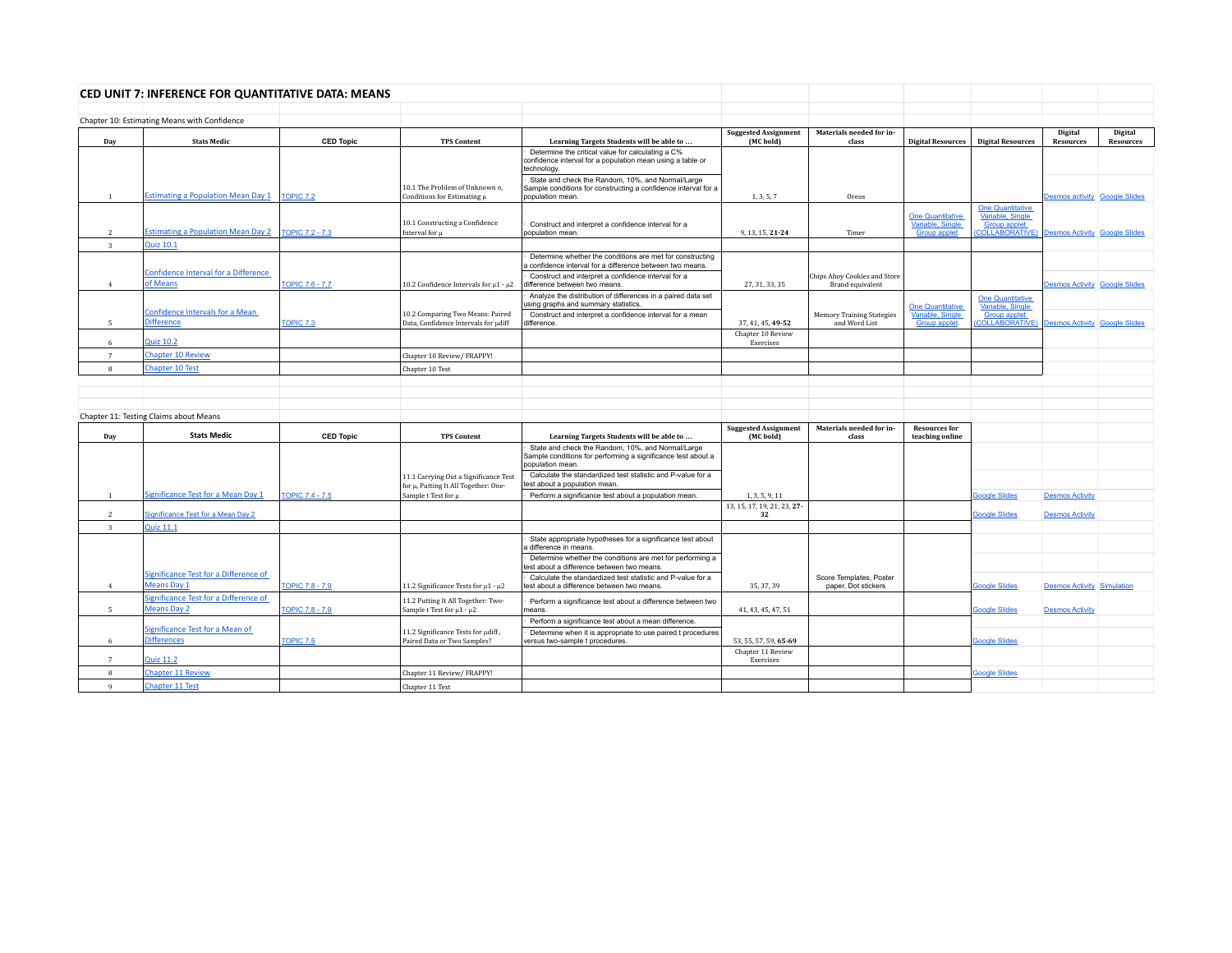|                         | CED UNIT 7: INFERENCE FOR QUANTITATIVE DATA: MEANS          |                        |                                                                               |                                                                                                                                         |                                          |                                                         |                                                                    |                                                                                                                    |                                      |                             |
|-------------------------|-------------------------------------------------------------|------------------------|-------------------------------------------------------------------------------|-----------------------------------------------------------------------------------------------------------------------------------------|------------------------------------------|---------------------------------------------------------|--------------------------------------------------------------------|--------------------------------------------------------------------------------------------------------------------|--------------------------------------|-----------------------------|
|                         |                                                             |                        |                                                                               |                                                                                                                                         |                                          |                                                         |                                                                    |                                                                                                                    |                                      |                             |
|                         | Chapter 10: Estimating Means with Confidence                |                        |                                                                               |                                                                                                                                         |                                          |                                                         |                                                                    |                                                                                                                    |                                      |                             |
| Day                     | <b>Stats Medic</b>                                          | <b>CED Topic</b>       | <b>TPS Content</b>                                                            | Learning Targets Students will be able to                                                                                               | <b>Suggested Assignment</b><br>(MC bold) | Materials needed for in-<br>class                       | <b>Digital Resources</b>                                           | <b>Digital Resources</b>                                                                                           | Digital<br><b>Resources</b>          | Digital<br><b>Resources</b> |
|                         |                                                             |                        |                                                                               | Determine the critical value for calculating a C%<br>confidence interval for a population mean using a table or<br>technology.          |                                          |                                                         |                                                                    |                                                                                                                    |                                      |                             |
| $\overline{1}$          | <b>Estimating a Population Mean Day 1</b>                   | <b>TOPIC 7.2</b>       | 10.1 The Problem of Unknown σ.<br>Conditions for Estimating µ                 | State and check the Random, 10%, and Normal/Large<br>Sample conditions for constructing a confidence interval for a<br>population mean. | 1, 3, 5, 7                               | Oreos                                                   |                                                                    |                                                                                                                    | Desmos activity Google Slides        |                             |
| $\overline{2}$          | <b>Estimating a Population Mean Day 2</b>                   | <b>TOPIC 7.2 - 7.3</b> | 10.1 Constructing a Confidence<br>Interval for u                              | Construct and interpret a confidence interval for a<br>population mean.                                                                 | 9, 13, 15, 21-24                         | Timer                                                   | <b>One Quantitative</b><br>Variable, Single<br><b>Group applet</b> | <b>One Quantitative</b><br>Variable, Single<br><b>Group applet</b><br>COLLABORATIVE) Desmos Activity Google Slides |                                      |                             |
| $\overline{\mathbf{3}}$ | <b>Quiz 10.1</b>                                            |                        |                                                                               |                                                                                                                                         |                                          |                                                         |                                                                    |                                                                                                                    |                                      |                             |
|                         |                                                             |                        |                                                                               | Determine whether the conditions are met for constructing<br>a confidence interval for a difference between two means.                  |                                          |                                                         |                                                                    |                                                                                                                    |                                      |                             |
| $\overline{4}$          | <b>Confidence Interval for a Difference</b><br>of Means     | <b>TOPIC 7.6 - 7.7</b> | 10.2 Confidence Intervals for μ1 - μ2                                         | Construct and interpret a confidence interval for a<br>difference between two means.                                                    | 27, 31, 33, 35                           | Chips Ahoy Cookies and Store<br><b>Brand equivalent</b> |                                                                    |                                                                                                                    | <b>Desmos Activity Google Slides</b> |                             |
|                         |                                                             |                        |                                                                               | Analyze the distribution of differences in a paired data set<br>using graphs and summary statistics.                                    |                                          |                                                         | <b>One Quantitative</b>                                            | <b>One Quantitative</b><br>Variable, Single                                                                        |                                      |                             |
| 5                       | Confidence Intervals for a Mean<br><b>Difference</b>        | TOPIC 7.3              | 10.2 Comparing Two Means: Paired<br>Data, Confidence Intervals for udiff      | Construct and interpret a confidence interval for a mean<br>lifference.                                                                 | 37, 41, 45, 49-52                        | <b>Memory Training Stategies</b><br>and Word List       | Variable, Single<br><b>Group applet</b>                            | <b>Group applet</b><br>COLLABORATIVE) Desmos Activity Google Slides                                                |                                      |                             |
| 6                       | <b>Quiz 10.2</b>                                            |                        |                                                                               |                                                                                                                                         | Chapter 10 Review<br>Exercises           |                                                         |                                                                    |                                                                                                                    |                                      |                             |
| $7\overline{ }$         | <b>Chapter 10 Review</b>                                    |                        | Chapter 10 Review/ FRAPPY!                                                    |                                                                                                                                         |                                          |                                                         |                                                                    |                                                                                                                    |                                      |                             |
| 8                       | <b>Chapter 10 Test</b>                                      |                        | Chapter 10 Test                                                               |                                                                                                                                         |                                          |                                                         |                                                                    |                                                                                                                    |                                      |                             |
|                         |                                                             |                        |                                                                               |                                                                                                                                         |                                          |                                                         |                                                                    |                                                                                                                    |                                      |                             |
|                         |                                                             |                        |                                                                               |                                                                                                                                         |                                          |                                                         |                                                                    |                                                                                                                    |                                      |                             |
|                         |                                                             |                        |                                                                               |                                                                                                                                         |                                          |                                                         |                                                                    |                                                                                                                    |                                      |                             |
|                         | Chapter 11: Testing Claims about Means                      |                        |                                                                               |                                                                                                                                         |                                          |                                                         |                                                                    |                                                                                                                    |                                      |                             |
| Day                     | <b>Stats Medic</b>                                          | <b>CED Topic</b>       | <b>TPS Content</b>                                                            | Learning Targets Students will be able to                                                                                               | <b>Suggested Assignment</b><br>(MC bold) | Materials needed for in-<br>class                       | <b>Resources for</b><br>teaching online                            |                                                                                                                    |                                      |                             |
|                         |                                                             |                        |                                                                               | State and check the Random, 10%, and Normal/Large<br>Sample conditions for performing a significance test about a<br>population mean.   |                                          |                                                         |                                                                    |                                                                                                                    |                                      |                             |
|                         |                                                             |                        | 11.1 Carrying Out a Significance Test<br>for µ, Putting It All Together: One- | Calculate the standardized test statistic and P-value for a<br>est about a population mean.                                             |                                          |                                                         |                                                                    |                                                                                                                    |                                      |                             |
| $\mathbf{1}$            | Significance Test for a Mean Day 1                          | TOPIC 7.4 - 7.5        | Sample t Test for µ                                                           | Perform a significance test about a population mean.                                                                                    | 1.3.5.9.11                               |                                                         |                                                                    | <b>Soogle Slides</b>                                                                                               | <b>Desmos Activity</b>               |                             |
| $\overline{2}$          | <b>Significance Test for a Mean Day 2</b>                   |                        |                                                                               |                                                                                                                                         | 13, 15, 17, 19, 21, 23, 27-<br>32        |                                                         |                                                                    | <b>Google Slides</b>                                                                                               | <b>Desmos Activity</b>               |                             |
| $\overline{3}$          | <b>Quiz 11.1</b>                                            |                        |                                                                               |                                                                                                                                         |                                          |                                                         |                                                                    |                                                                                                                    |                                      |                             |
|                         |                                                             |                        |                                                                               | State appropriate hypotheses for a significance test about<br>a difference in means.                                                    |                                          |                                                         |                                                                    |                                                                                                                    |                                      |                             |
|                         |                                                             |                        |                                                                               | Determine whether the conditions are met for performing a<br>test about a difference between two means.                                 |                                          |                                                         |                                                                    |                                                                                                                    |                                      |                             |
| 4                       | Significance Test for a Difference of<br><b>Means Day 1</b> | <b>TOPIC 7.8 - 7.9</b> | 11.2 Significance Tests for $\mu$ 1 - $\mu$ 2                                 | Calculate the standardized test statistic and P-value for a<br>test about a difference between two means.                               | 35.37.39                                 | Score Templates, Poster<br>paper, Dot stickers          |                                                                    | <b>Google Slides</b>                                                                                               | <b>Desmos Activity Simulation</b>    |                             |
|                         | Significance Test for a Difference of                       |                        | 11.2 Putting It All Together: Two-                                            | Perform a significance test about a difference between two                                                                              |                                          |                                                         |                                                                    |                                                                                                                    |                                      |                             |
| 5                       | <b>Means Day 2</b>                                          | <b>TOPIC 7.8 - 7.9</b> | Sample t Test for $\mu$ 1 - $\mu$ 2                                           | neans.                                                                                                                                  | 41, 43, 45, 47, 51                       |                                                         |                                                                    | <b>Google Slides</b>                                                                                               | <b>Desmos Activity</b>               |                             |
|                         | Significance Test for a Mean of                             |                        | 11.2 Significance Tests for udiff,                                            | Perform a significance test about a mean difference.                                                                                    |                                          |                                                         |                                                                    |                                                                                                                    |                                      |                             |
| 6                       | <b>Differences</b>                                          | <b>TOPIC 7.5</b>       | Paired Data or Two Samples?                                                   | Determine when it is appropriate to use paired t procedures<br>versus two-sample t procedures.                                          | 53, 55, 57, 59, 65-69                    |                                                         |                                                                    | <b>Google Slides</b>                                                                                               |                                      |                             |
| $7\overline{ }$         | <b>Quiz 11.2</b>                                            |                        |                                                                               |                                                                                                                                         | Chapter 11 Review<br>Exercises           |                                                         |                                                                    |                                                                                                                    |                                      |                             |
| 8                       | <b>Chapter 11 Review</b>                                    |                        | Chapter 11 Review/ FRAPPY!                                                    |                                                                                                                                         |                                          |                                                         |                                                                    | <b>Google Slides</b>                                                                                               |                                      |                             |
| 9                       | <b>Chapter 11 Test</b>                                      |                        | Chapter 11 Test                                                               |                                                                                                                                         |                                          |                                                         |                                                                    |                                                                                                                    |                                      |                             |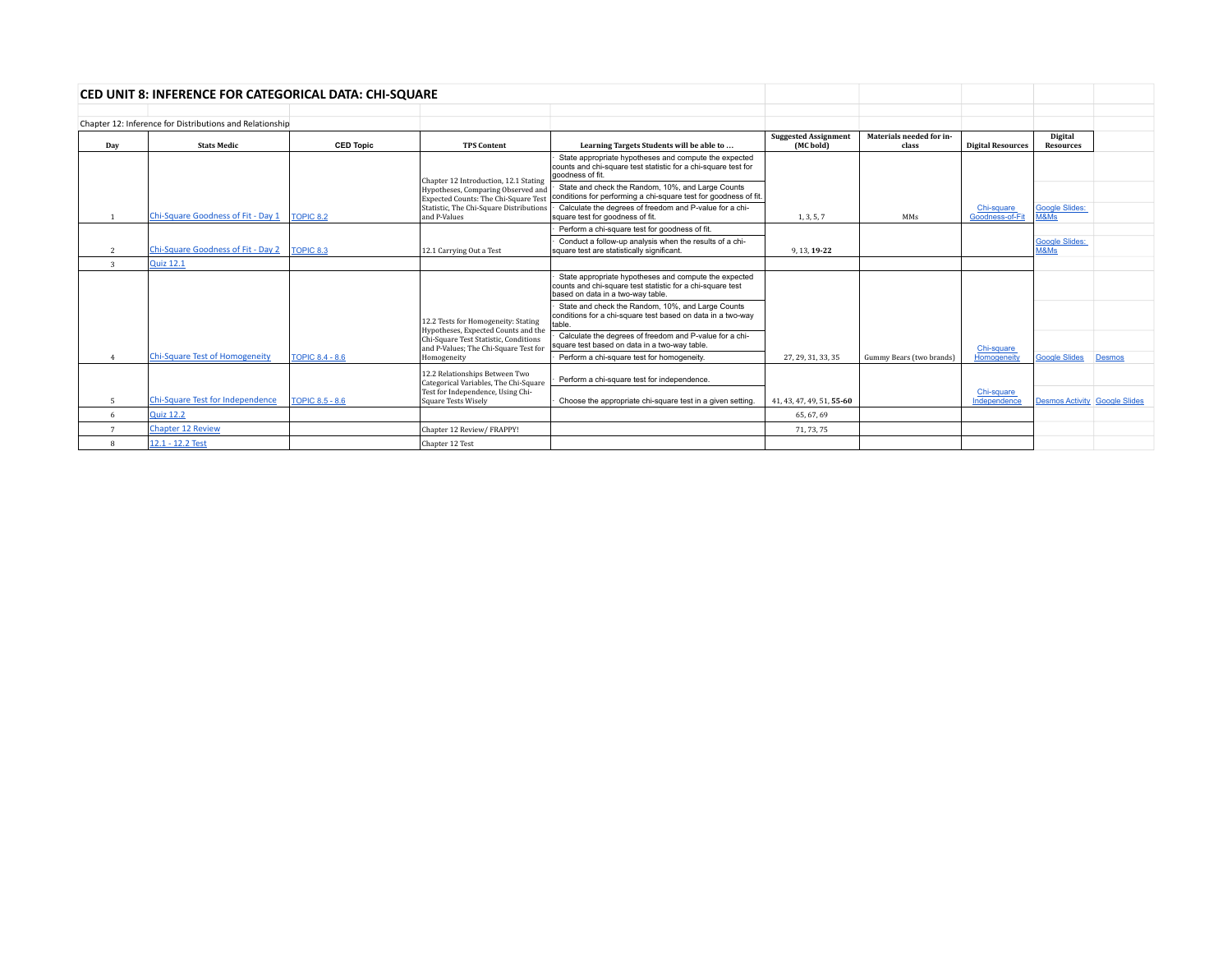|                         | <b>CED UNIT 8: INFERENCE FOR CATEGORICAL DATA: CHI-SQUARE</b> |                        |                                                                                |                                                                                                                                                          |                                                      |                                   |                               |                                           |        |
|-------------------------|---------------------------------------------------------------|------------------------|--------------------------------------------------------------------------------|----------------------------------------------------------------------------------------------------------------------------------------------------------|------------------------------------------------------|-----------------------------------|-------------------------------|-------------------------------------------|--------|
|                         |                                                               |                        |                                                                                |                                                                                                                                                          |                                                      |                                   |                               |                                           |        |
|                         | Chapter 12: Inference for Distributions and Relationship      |                        |                                                                                |                                                                                                                                                          |                                                      |                                   |                               |                                           |        |
| Day                     | <b>Stats Medic</b>                                            | <b>CED Topic</b>       | <b>TPS Content</b>                                                             | Learning Targets Students will be able to                                                                                                                | <b>Suggested Assignment</b><br>(MC <sub>bold</sub> ) | Materials needed for in-<br>class | <b>Digital Resources</b>      | Digital<br><b>Resources</b>               |        |
|                         |                                                               |                        | Chapter 12 Introduction, 12.1 Stating                                          | State appropriate hypotheses and compute the expected<br>counts and chi-square test statistic for a chi-square test for<br>goodness of fit.              |                                                      |                                   |                               |                                           |        |
|                         |                                                               |                        | Hypotheses, Comparing Observed and<br>Expected Counts: The Chi-Square Test     | State and check the Random, 10%, and Large Counts<br>conditions for performing a chi-square test for goodness of fit.                                    |                                                      |                                   |                               |                                           |        |
|                         | Chi-Square Goodness of Fit - Day 1                            | TOPIC 8.2              | Statistic, The Chi-Square Distributions<br>and P-Values                        | Calculate the degrees of freedom and P-value for a chi-<br>square test for goodness of fit.                                                              | 1, 3, 5, 7                                           | MMs                               | Chi-square<br>Goodness-of-Fit | Google Slides:<br>M&Ms                    |        |
|                         |                                                               |                        |                                                                                | Perform a chi-square test for goodness of fit.                                                                                                           |                                                      |                                   |                               |                                           |        |
| $\overline{2}$          | Chi-Square Goodness of Fit - Day 2                            | TOPIC 8.3              | 12.1 Carrying Out a Test                                                       | Conduct a follow-up analysis when the results of a chi-<br>square test are statistically significant.                                                    | 9.13.19-22                                           |                                   |                               | <b>Google Slides:</b><br>M&M <sub>s</sub> |        |
| $\overline{\mathbf{3}}$ | <b>Quiz 12.1</b>                                              |                        |                                                                                |                                                                                                                                                          |                                                      |                                   |                               |                                           |        |
|                         |                                                               |                        |                                                                                | State appropriate hypotheses and compute the expected<br>counts and chi-square test statistic for a chi-square test<br>based on data in a two-way table. |                                                      |                                   |                               |                                           |        |
|                         |                                                               |                        | 12.2 Tests for Homogeneity: Stating<br>Hypotheses, Expected Counts and the     | State and check the Random, 10%, and Large Counts<br>conditions for a chi-square test based on data in a two-way<br>table.                               |                                                      |                                   |                               |                                           |        |
|                         |                                                               |                        | Chi-Square Test Statistic, Conditions<br>and P-Values; The Chi-Square Test for | Calculate the degrees of freedom and P-value for a chi-<br>square test based on data in a two-way table.                                                 |                                                      |                                   | Chi-square                    |                                           |        |
|                         | <b>Chi-Square Test of Homogeneity</b>                         | <b>TOPIC 8.4 - 8.6</b> | Homogeneity                                                                    | Perform a chi-square test for homogeneity.                                                                                                               | 27, 29, 31, 33, 35                                   | Gummy Bears (two brands)          | Homogeneity                   | <b>Google Slides</b>                      | Desmos |
|                         |                                                               |                        | 12.2 Relationships Between Two<br>Categorical Variables, The Chi-Square        | Perform a chi-square test for independence.                                                                                                              |                                                      |                                   |                               |                                           |        |
| 5                       | Chi-Square Test for Independence                              | <b>TOPIC 8.5 - 8.6</b> | Test for Independence, Using Chi-<br>Square Tests Wiselv                       | Choose the appropriate chi-square test in a given setting.                                                                                               | 41, 43, 47, 49, 51, 55-60                            |                                   | Chi-square<br>Independence    | <b>Desmos Activity Google Slides</b>      |        |
| 6                       | <b>Quiz 12.2</b>                                              |                        |                                                                                |                                                                                                                                                          | 65, 67, 69                                           |                                   |                               |                                           |        |
|                         | <b>Chapter 12 Review</b>                                      |                        | Chapter 12 Review/ FRAPPY!                                                     |                                                                                                                                                          | 71, 73, 75                                           |                                   |                               |                                           |        |
|                         | 12.1 - 12.2 Test                                              |                        | Chapter 12 Test                                                                |                                                                                                                                                          |                                                      |                                   |                               |                                           |        |